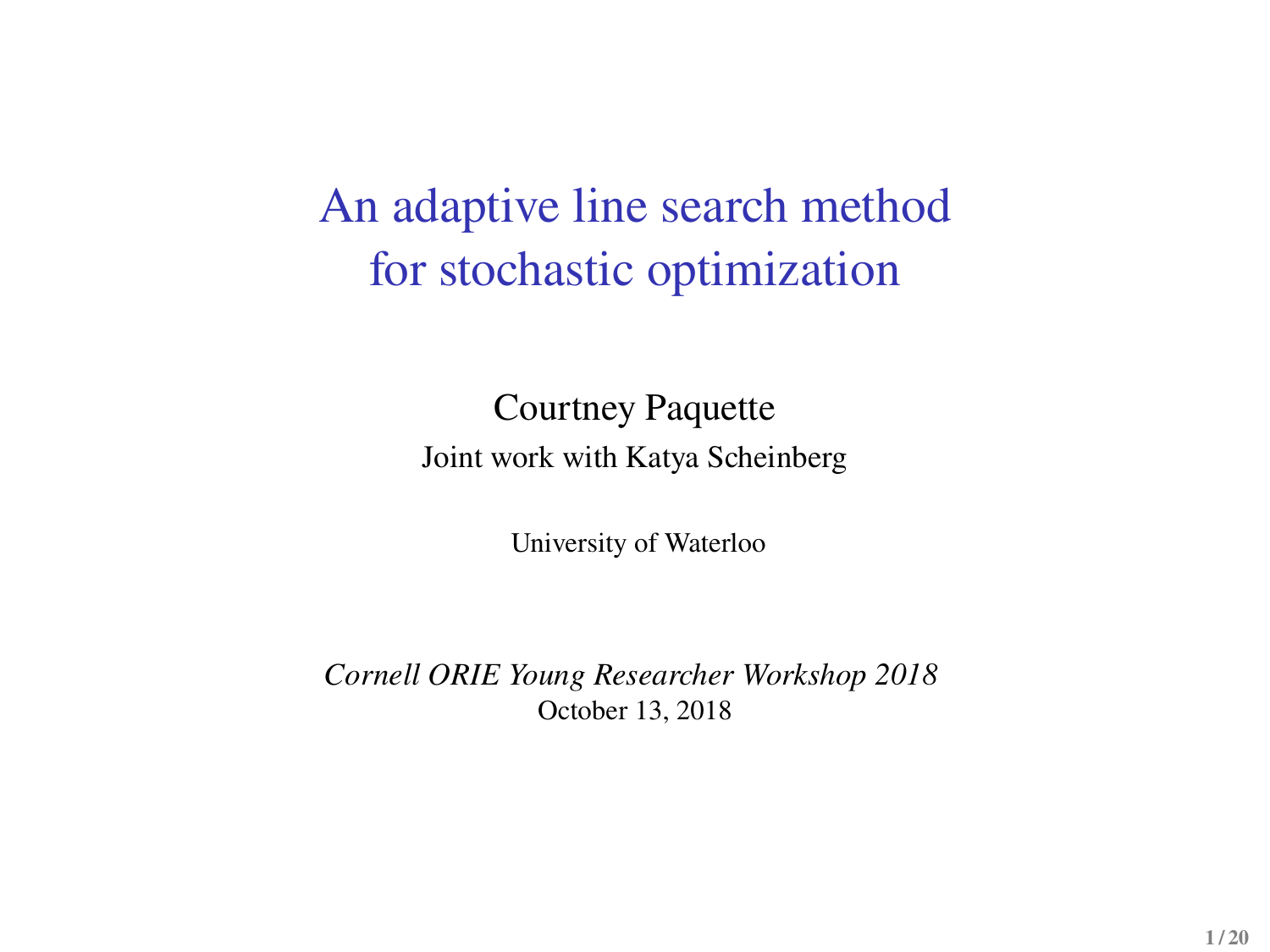# An adaptive line search method for stochastic optimization

#### Courtney Paquette Joint work with Katya Scheinberg

University of Waterloo

*Cornell ORIE Young Researcher Workshop 2018* October 13, 2018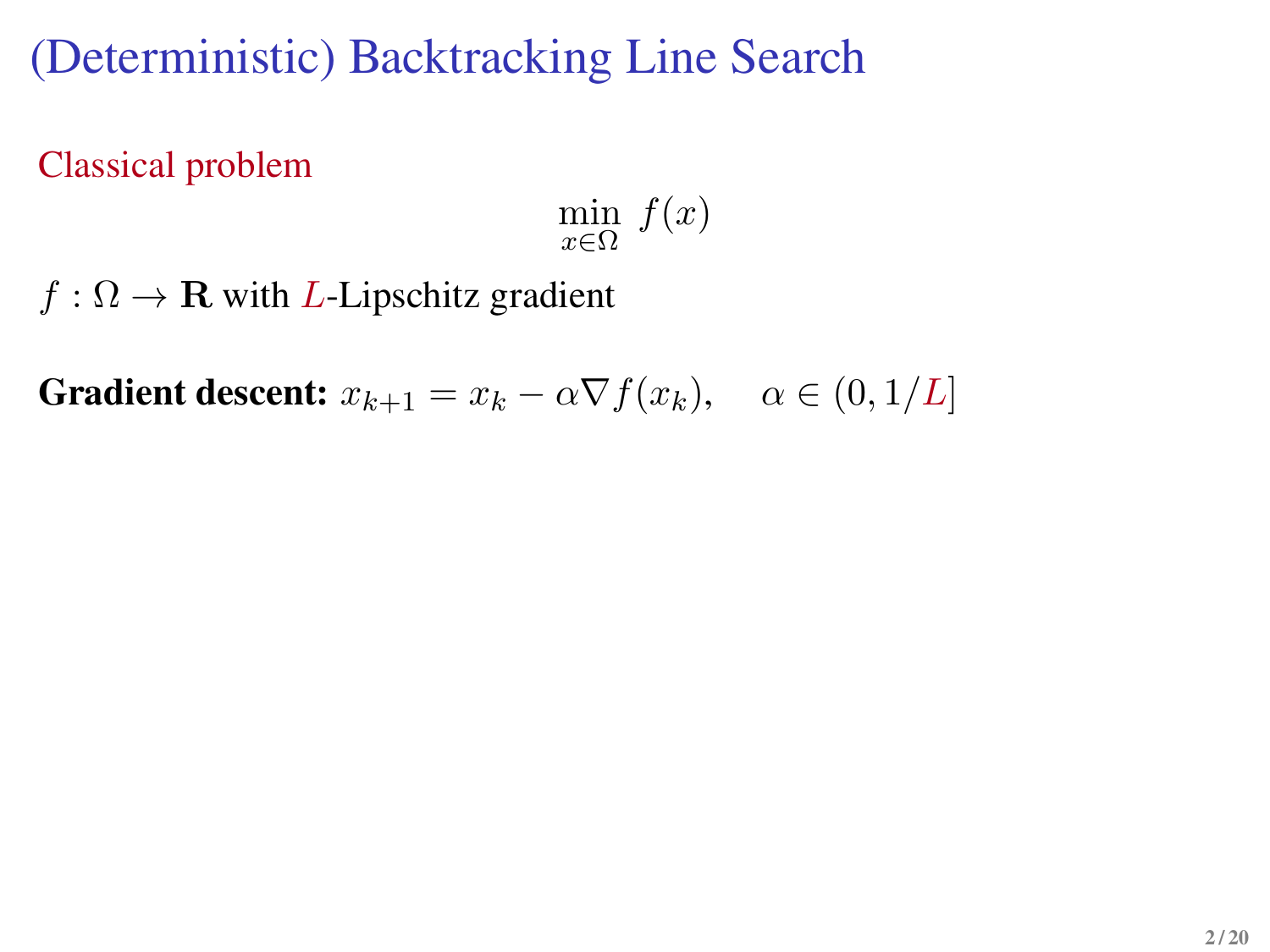(Deterministic) Backtracking Line Search

Classical problem

 $\min_{x \in \Omega} f(x)$ 

 $f : \Omega \to \mathbf{R}$  with *L*-Lipschitz gradient

**Gradient descent:**  $x_{k+1} = x_k - \alpha \nabla f(x_k)$ ,  $\alpha \in (0, 1/L]$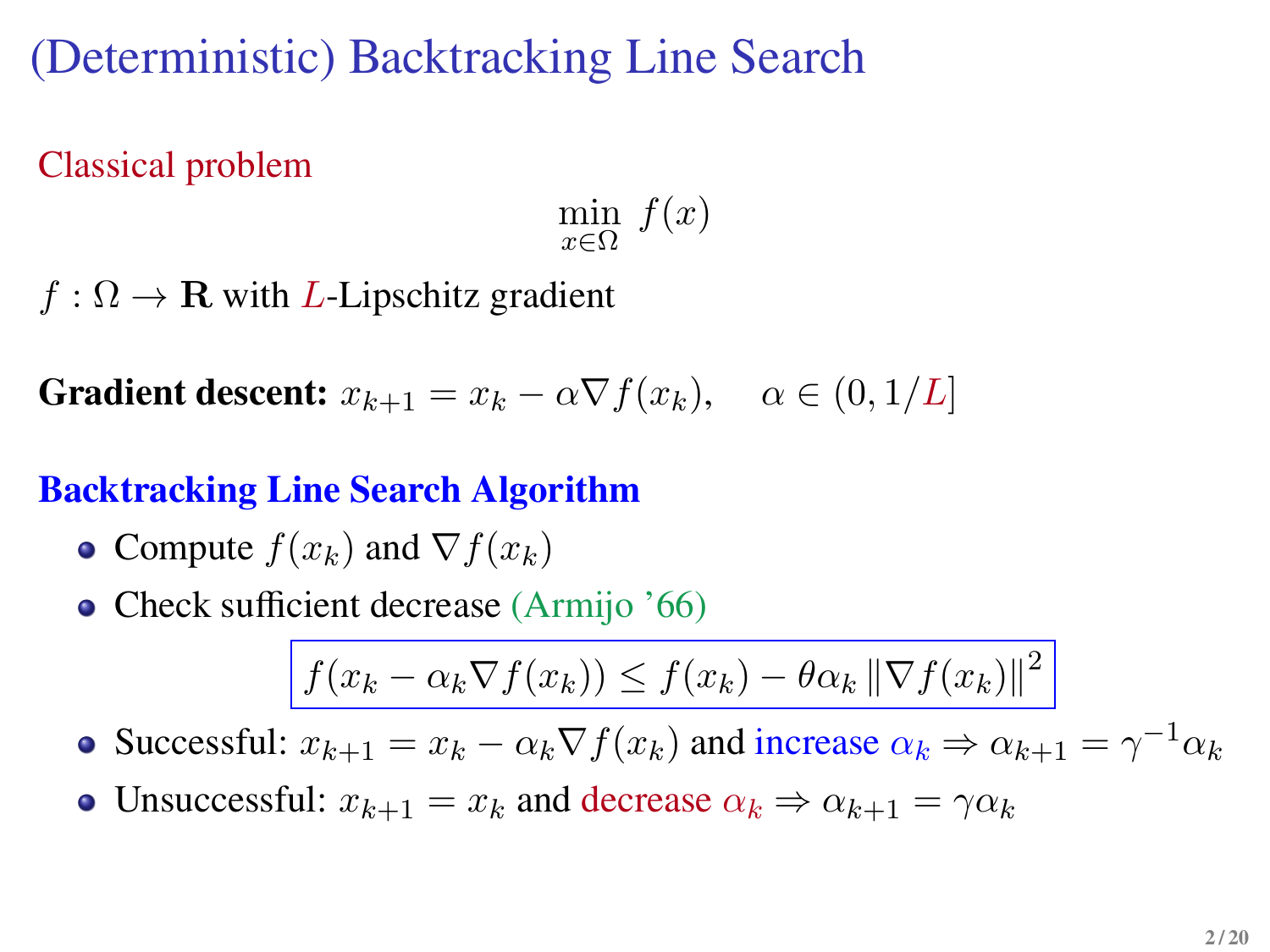(Deterministic) Backtracking Line Search

Classical problem

 $\min_{x \in \Omega} f(x)$ 

 $f : \Omega \to \mathbf{R}$  with *L*-Lipschitz gradient

**Gradient descent:**  $x_{k+1} = x_k - \alpha \nabla f(x_k)$ ,  $\alpha \in (0, 1/L]$ 

#### **Backtracking Line Search Algorithm**

- Compute  $f(x_k)$  and  $\nabla f(x_k)$
- Check sufficient decrease (Armijo '66)

$$
f(x_k - \alpha_k \nabla f(x_k)) \le f(x_k) - \theta \alpha_k \|\nabla f(x_k)\|^2
$$

Successful:  $x_{k+1} = x_k - \alpha_k \nabla f(x_k)$  and increase  $\alpha_k \Rightarrow \alpha_{k+1} = \gamma^{-1} \alpha_k$ 

• Unsuccessful:  $x_{k+1} = x_k$  and decrease  $\alpha_k \Rightarrow \alpha_{k+1} = \gamma \alpha_k$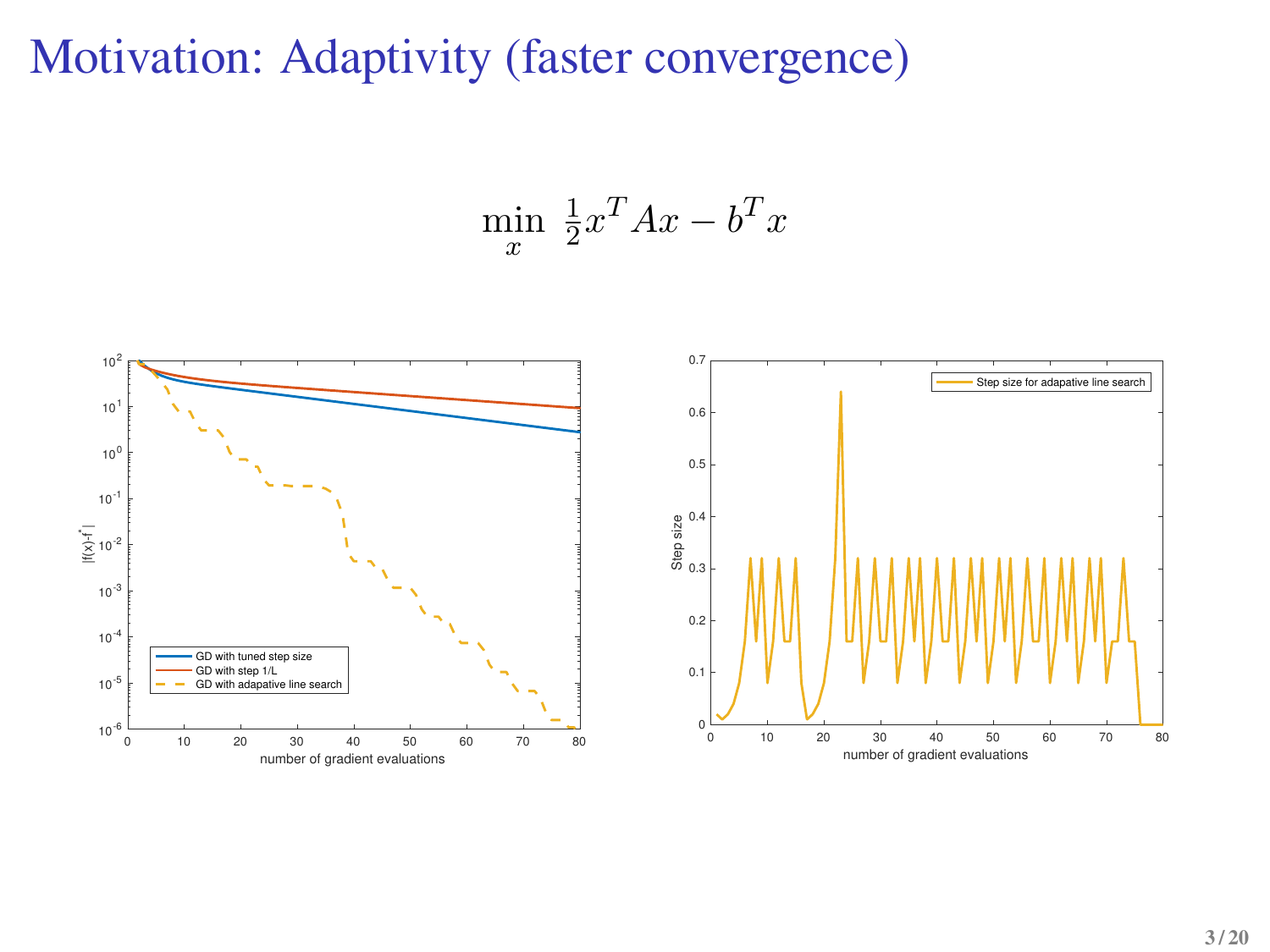## Motivation: Adaptivity (faster convergence)

$$
\min_{x} \frac{1}{2}x^T A x - b^T x
$$

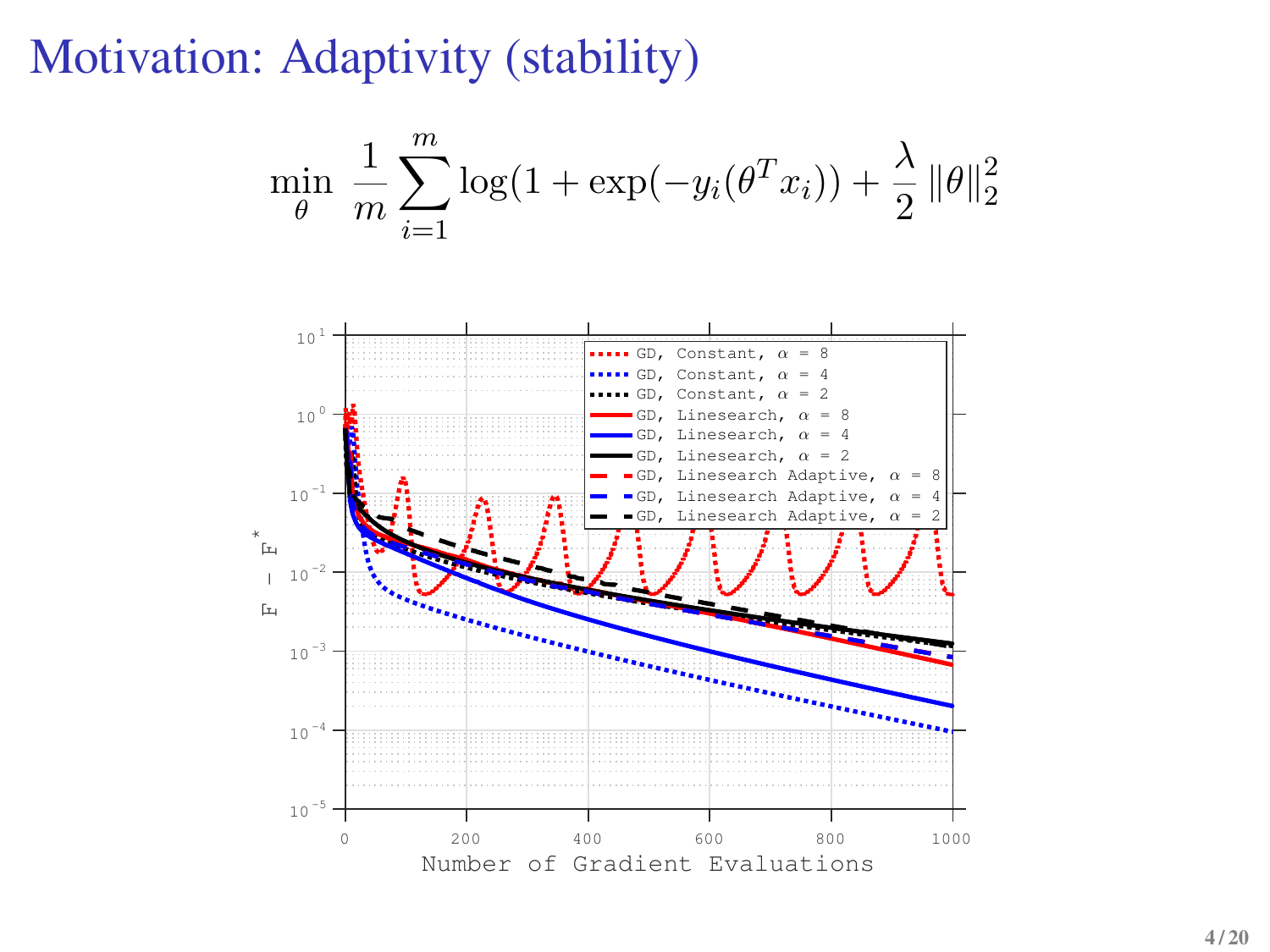### Motivation: Adaptivity (stability)

$$
\min_{\theta} \frac{1}{m} \sum_{i=1}^{m} \log(1 + \exp(-y_i(\theta^T x_i)) + \frac{\lambda}{2} ||\theta||_2^2
$$

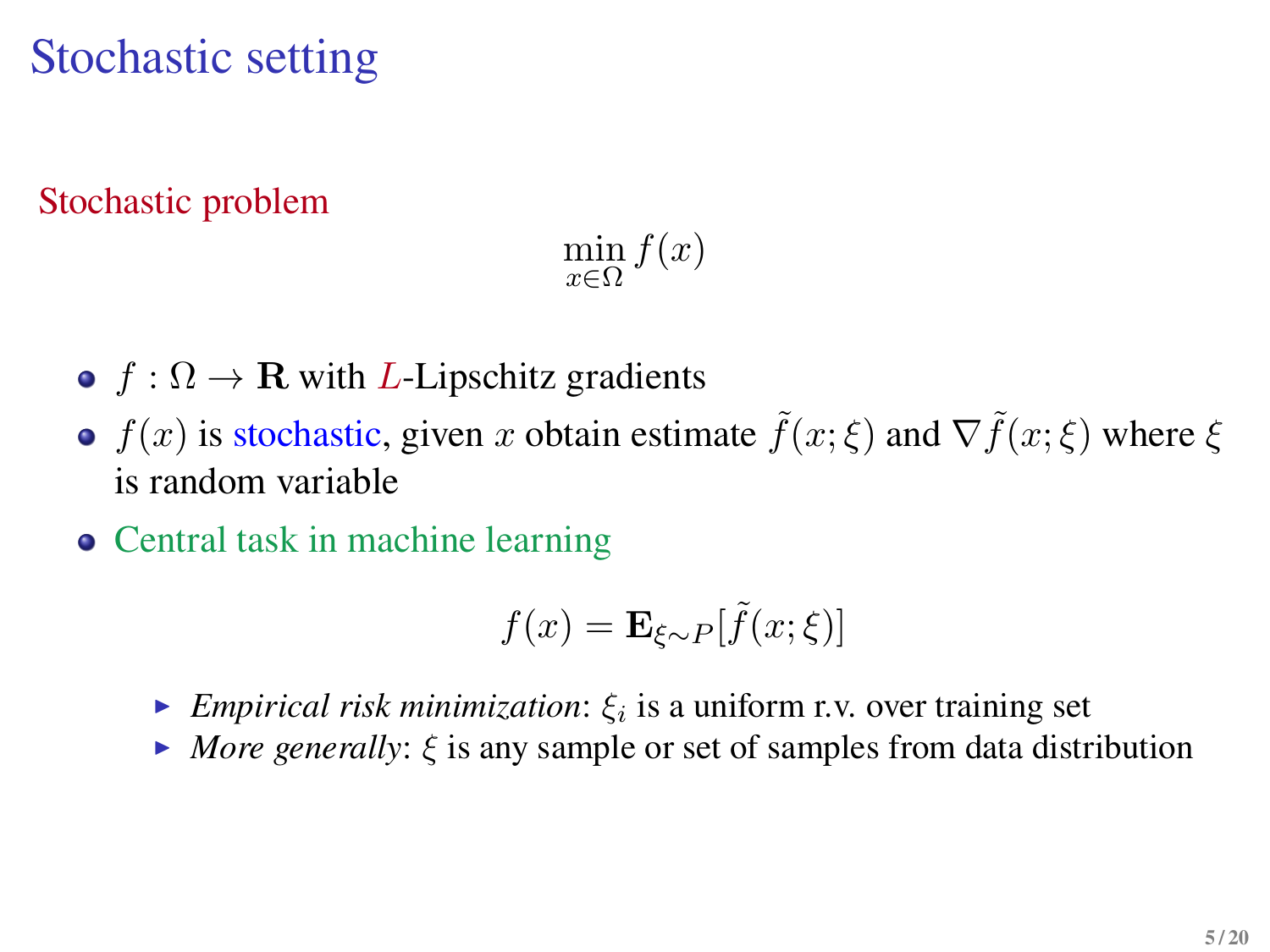## Stochastic setting

#### Stochastic problem

 $\min_{x \in \Omega} f(x)$ 

- $f : \Omega \to \mathbf{R}$  with *L*-Lipschitz gradients
- $f(x)$  is stochastic, given x obtain estimate  $\tilde{f}(x;\xi)$  and  $\nabla \tilde{f}(x;\xi)$  where  $\xi$ is random variable
- Central task in machine learning

$$
f(x) = \mathbf{E}_{\xi \sim P}[\tilde{f}(x; \xi)]
$$

- **E**mpirical risk minimization:  $\xi_i$  is a uniform r.v. over training set
- $\blacktriangleright$  *More generally:*  $\xi$  is any sample or set of samples from data distribution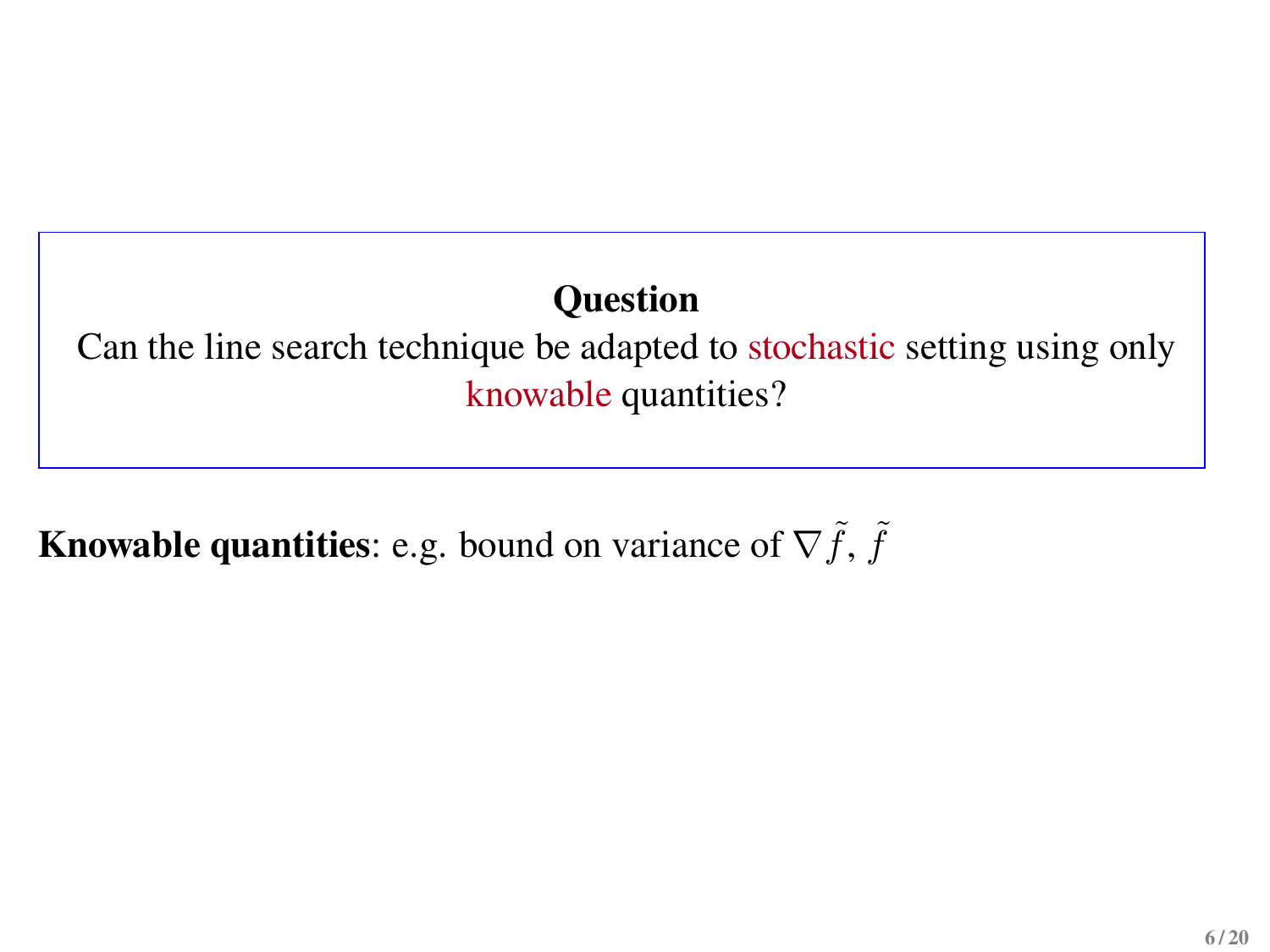### **Question**

Can the line search technique be adapted to stochastic setting using only knowable quantities?

**Knowable quantities:** e.g. bound on variance of  $\nabla \tilde{f}$ ,  $\tilde{f}$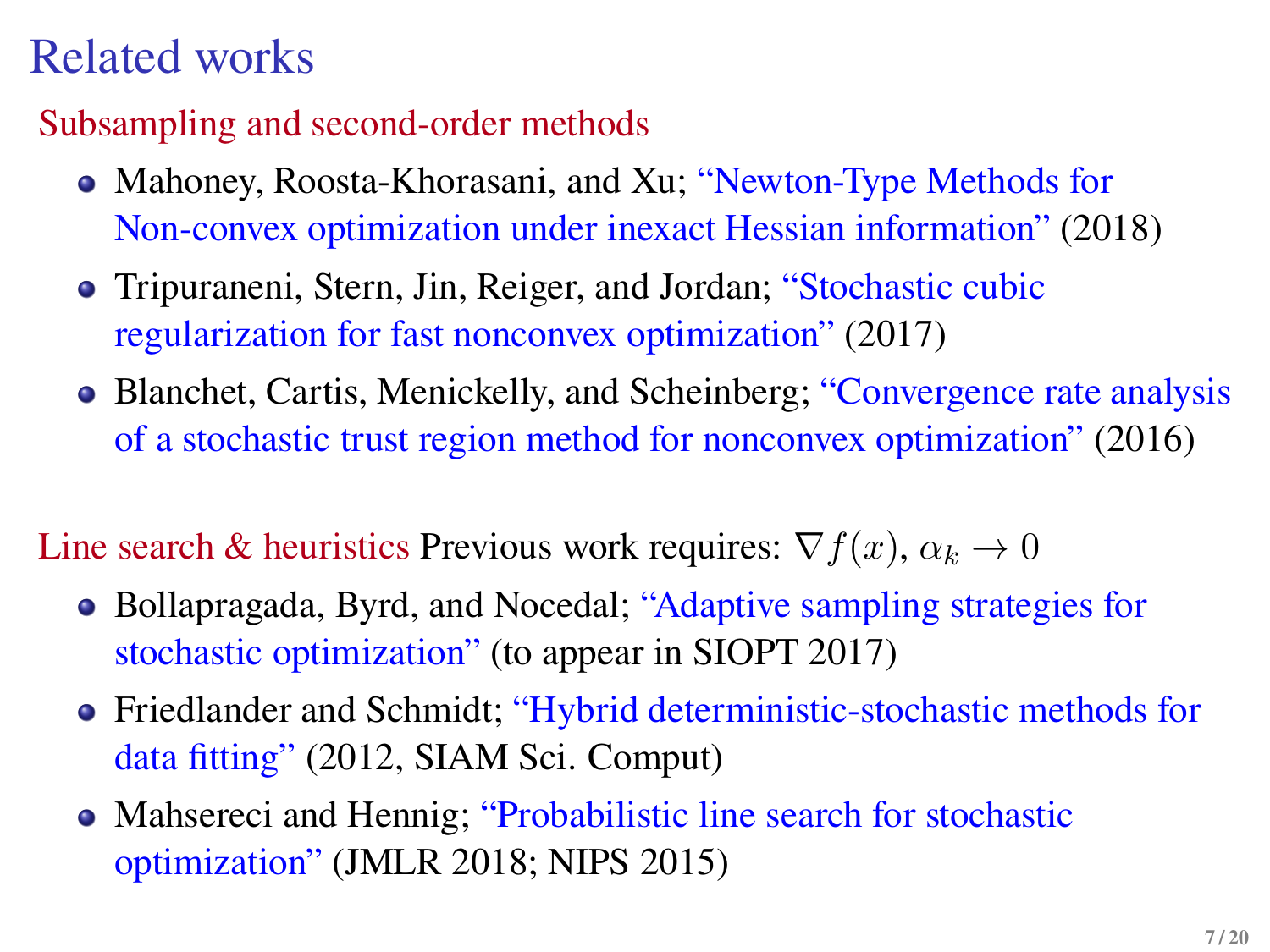# Related works

#### Subsampling and second-order methods

- Mahoney, Roosta-Khorasani, and Xu; "Newton-Type Methods for Non-convex optimization under inexact Hessian information" (2018)
- Tripuraneni, Stern, Jin, Reiger, and Jordan; "Stochastic cubic regularization for fast nonconvex optimization" (2017)
- Blanchet, Cartis, Menickelly, and Scheinberg; "Convergence rate analysis of a stochastic trust region method for nonconvex optimization" (2016)

Line search & heuristics Previous work requires:  $\nabla f(x)$ ,  $\alpha_k \to 0$ 

- Bollapragada, Byrd, and Nocedal; "Adaptive sampling strategies for stochastic optimization" (to appear in SIOPT 2017)
- Friedlander and Schmidt; "Hybrid deterministic-stochastic methods for data fitting" (2012, SIAM Sci. Comput)
- Mahsereci and Hennig; "Probabilistic line search for stochastic optimization" (JMLR 2018; NIPS 2015)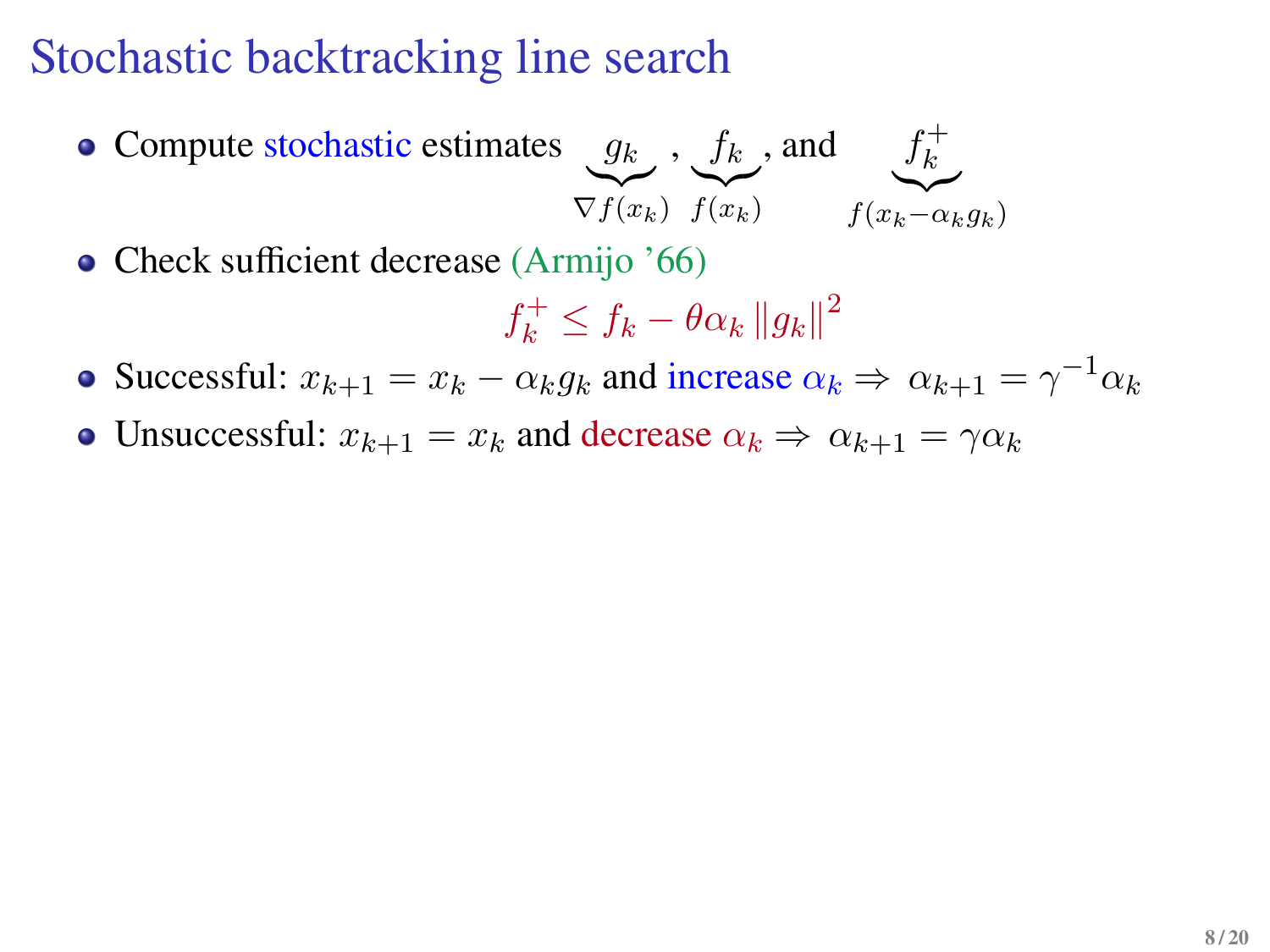## Stochastic backtracking line search

Compute stochastic estimates  $g_k$  $\widetilde{\nabla f(x_k)}$ ,  $f_k$  $\widetilde{f(x_k)}$ , and  $f_k^+$ k  $f(x_k-\alpha_k g_k)$ 

• Check sufficient decrease (Armijo '66)

$$
f_k^+ \le f_k - \theta \alpha_k \left\| g_k \right\|^2
$$

Successful:  $x_{k+1} = x_k - \alpha_k g_k$  and increase  $\alpha_k \Rightarrow \alpha_{k+1} = \gamma^{-1} \alpha_k$ 

• Unsuccessful:  $x_{k+1} = x_k$  and decrease  $\alpha_k \Rightarrow \alpha_{k+1} = \gamma \alpha_k$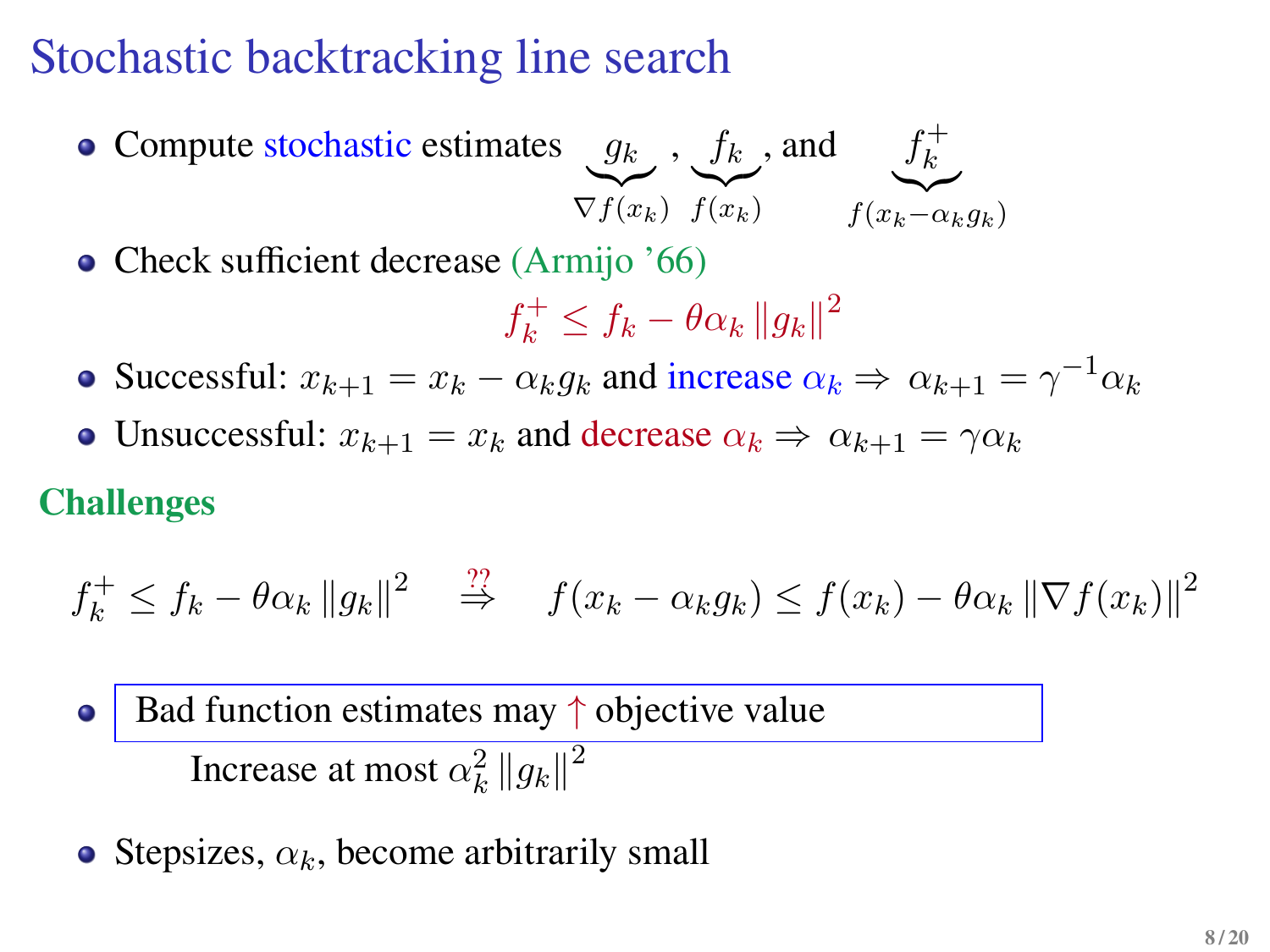## Stochastic backtracking line search

Compute stochastic estimates  $g_k$  $\widetilde{\nabla f(x_k)}$ ,  $f_k$  $f(x_k)$ , and  $f_k^+$ k  $f(x_k-\alpha_k g_k)$ 

• Check sufficient decrease (Armijo '66)

$$
f_k^+ \le f_k - \theta \alpha_k \left\| g_k \right\|^2
$$

- Successful:  $x_{k+1} = x_k \alpha_k g_k$  and increase  $\alpha_k \Rightarrow \alpha_{k+1} = \gamma^{-1} \alpha_k$
- Unsuccessful:  $x_{k+1} = x_k$  and decrease  $\alpha_k \Rightarrow \alpha_{k+1} = \gamma \alpha_k$

#### **Challenges**

$$
f_k^+ \leq f_k - \theta \alpha_k \|g_k\|^2 \quad \stackrel{\text{??}}{\Rightarrow} \quad f(x_k - \alpha_k g_k) \leq f(x_k) - \theta \alpha_k \|\nabla f(x_k)\|^2
$$

Bad function estimates may  $\uparrow$  objective value Increase at most  $\alpha_k^2 \left\| g_k \right\|^2$ 

• Stepsizes,  $\alpha_k$ , become arbitrarily small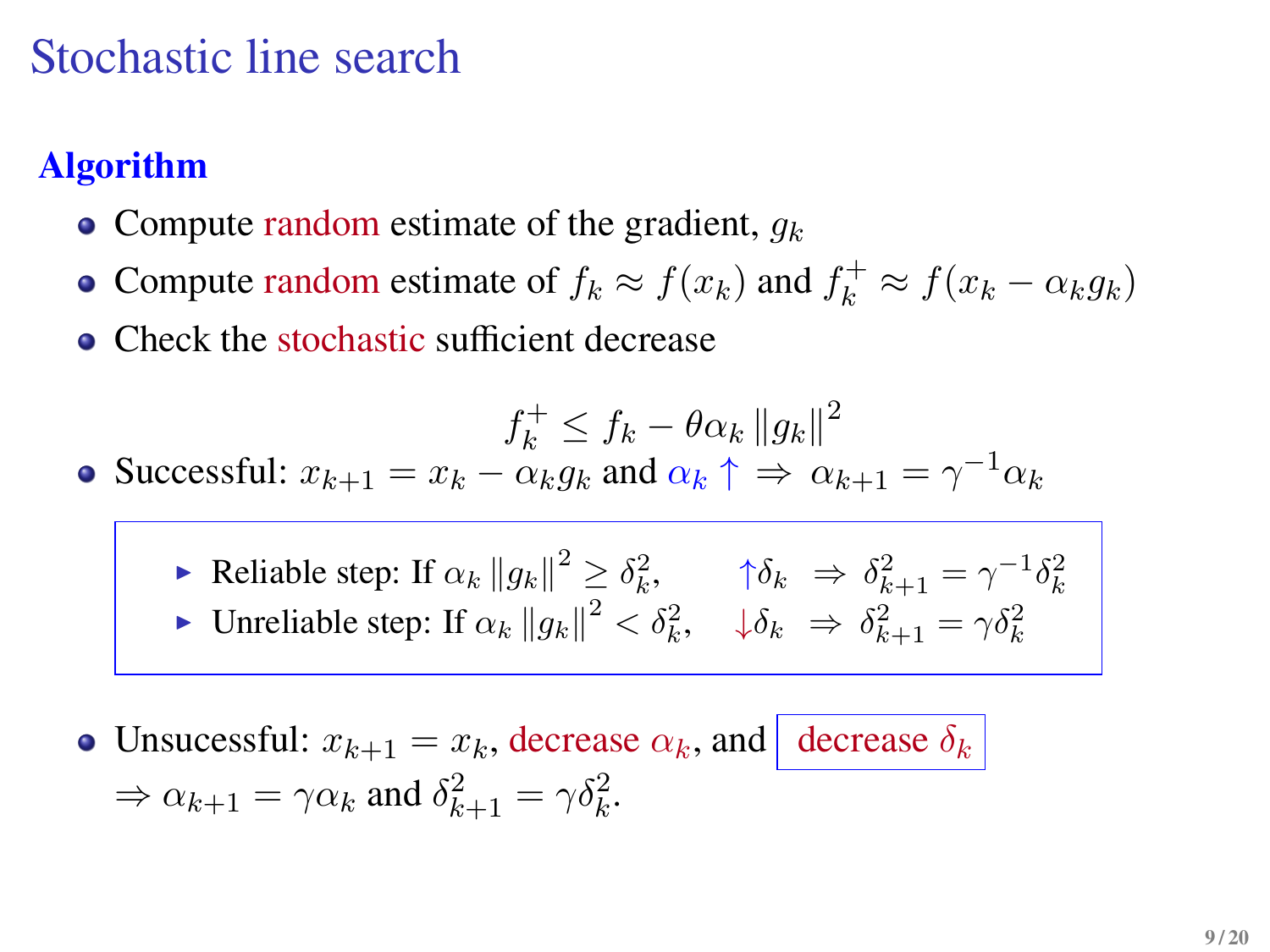### Stochastic line search

### **Algorithm**

- Compute random estimate of the gradient,  $q_k$
- Compute random estimate of  $f_k \approx f(x_k)$  and  $f_k^+ \approx f(x_k \alpha_k g_k)$
- Check the stochastic sufficient decrease

$$
f_k^+ \le f_k - \theta \alpha_k \left\| g_k \right\|^2
$$

- Successful:  $x_{k+1} = x_k \alpha_k g_k$  and  $\alpha_k \uparrow \Rightarrow \alpha_{k+1} = \gamma^{-1} \alpha_k$ 
	- Reliable step: If  $\alpha_k ||g_k||^2 \geq \delta_k^2$ ,  $\qquad \uparrow \delta_k \Rightarrow \delta_{k+1}^2 = \gamma^{-1} \delta_k^2$ ► Unreliable step: If  $\alpha_k ||g_k||^2 < \delta_k^2$ ,  $\psi_k \Rightarrow \delta_{k+1}^2 = \gamma \delta_k^2$
- Unsucessful:  $x_{k+1} = x_k$ , decrease  $\alpha_k$ , and decrease  $\delta_k$  $\Rightarrow \alpha_{k+1} = \gamma \alpha_k$  and  $\delta_{k+1}^2 = \gamma \delta_k^2$ .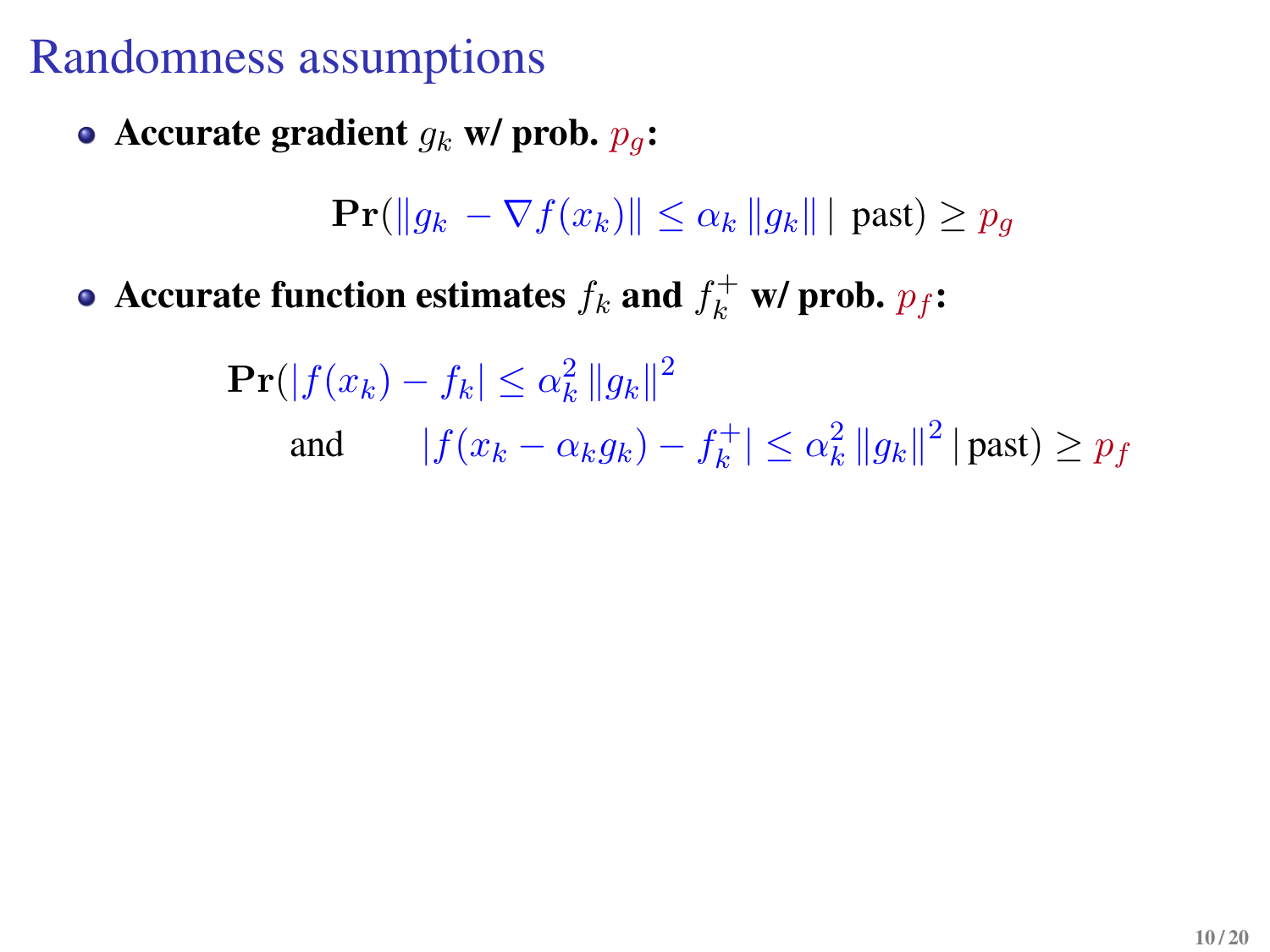### Randomness assumptions

• Accurate gradient  $g_k$  **w/** prob.  $p_q$ :

 $\Pr(\|q_k - \nabla f(x_k)\| \leq \alpha_k \|q_k\| \mid \text{past}) > p_a$ 

Accurate function estimates  $f_k$  and  $f_k^+$  w/ prob.  $p_f$ **:** 

 $\mathbf{Pr}(|f(x_k) - f_k| \leq \alpha_k^2 \|g_k\|^2$ and  $|f(x_k - \alpha_k g_k) - f_k^+|$  $\left| \frac{k^+}{k} \right| \leq \alpha_k^2 \left\| g_k \right\|^2 |\text{past}) \geq p_f$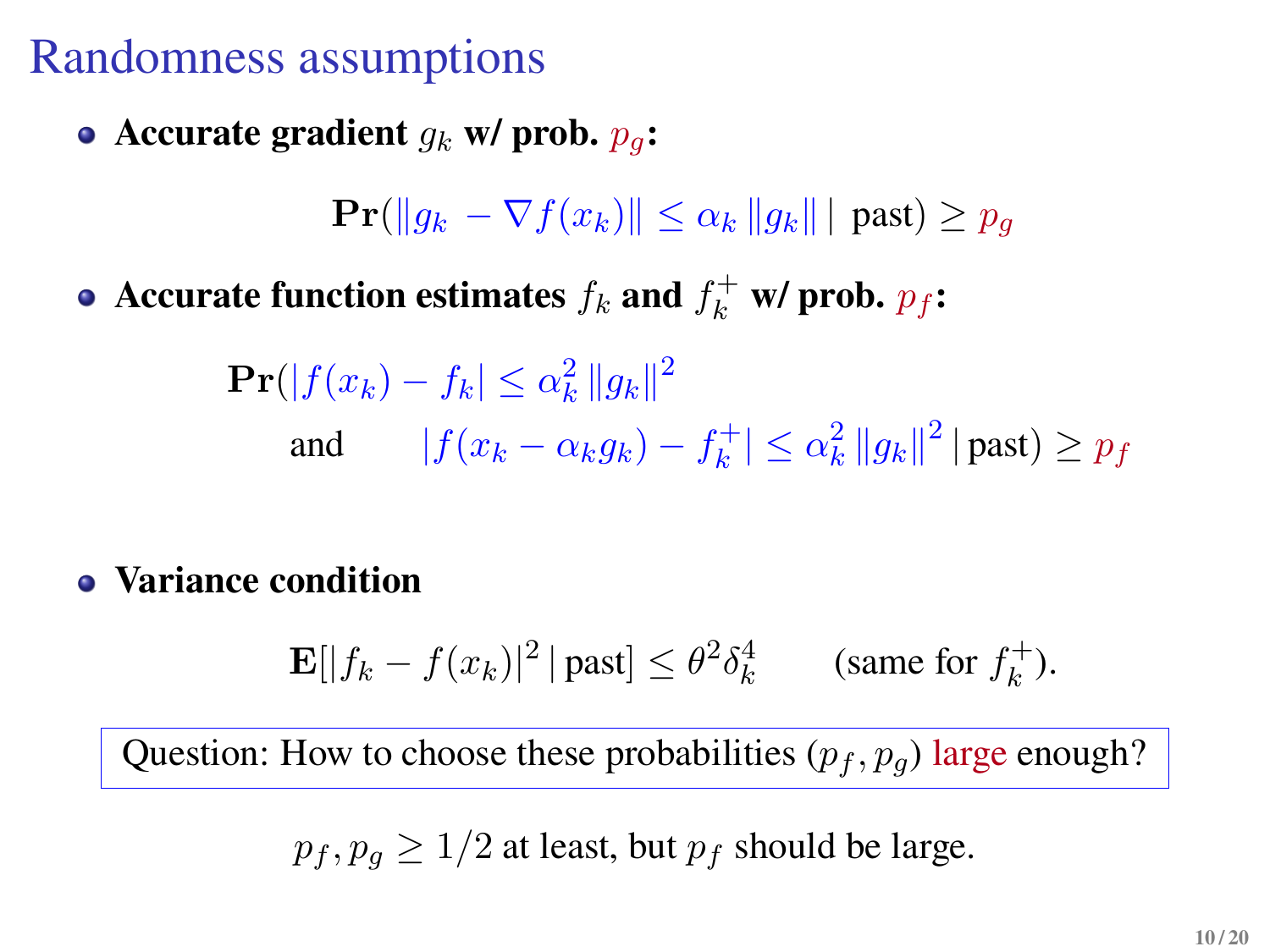## Randomness assumptions

• Accurate gradient  $g_k$  **w/** prob.  $p_q$ :

 $\Pr(\|g_k - \nabla f(x_k)\| \leq \alpha_k \|g_k\| \mid \text{past}) \geq p_q$ 

Accurate function estimates  $f_k$  and  $f_k^+$  w/ prob.  $p_f$ **:** 

$$
\begin{aligned} \mathbf{Pr}(|f(x_k) - f_k| &\leq \alpha_k^2 \|g_k\|^2\\ \text{and} \qquad |f(x_k - \alpha_k g_k) - f_k^+| &\leq \alpha_k^2 \|g_k\|^2 \, |\text{past}) \geq p_f \end{aligned}
$$

**Variance condition**

$$
\mathbf{E}[|f_k - f(x_k)|^2 \, | \, \text{past}] \le \theta^2 \delta_k^4 \qquad \text{(same for } f_k^+).
$$

Question: How to choose these probabilities  $(p_f, p_g)$  large enough?

 $p_f, p_g \geq 1/2$  at least, but  $p_f$  should be large.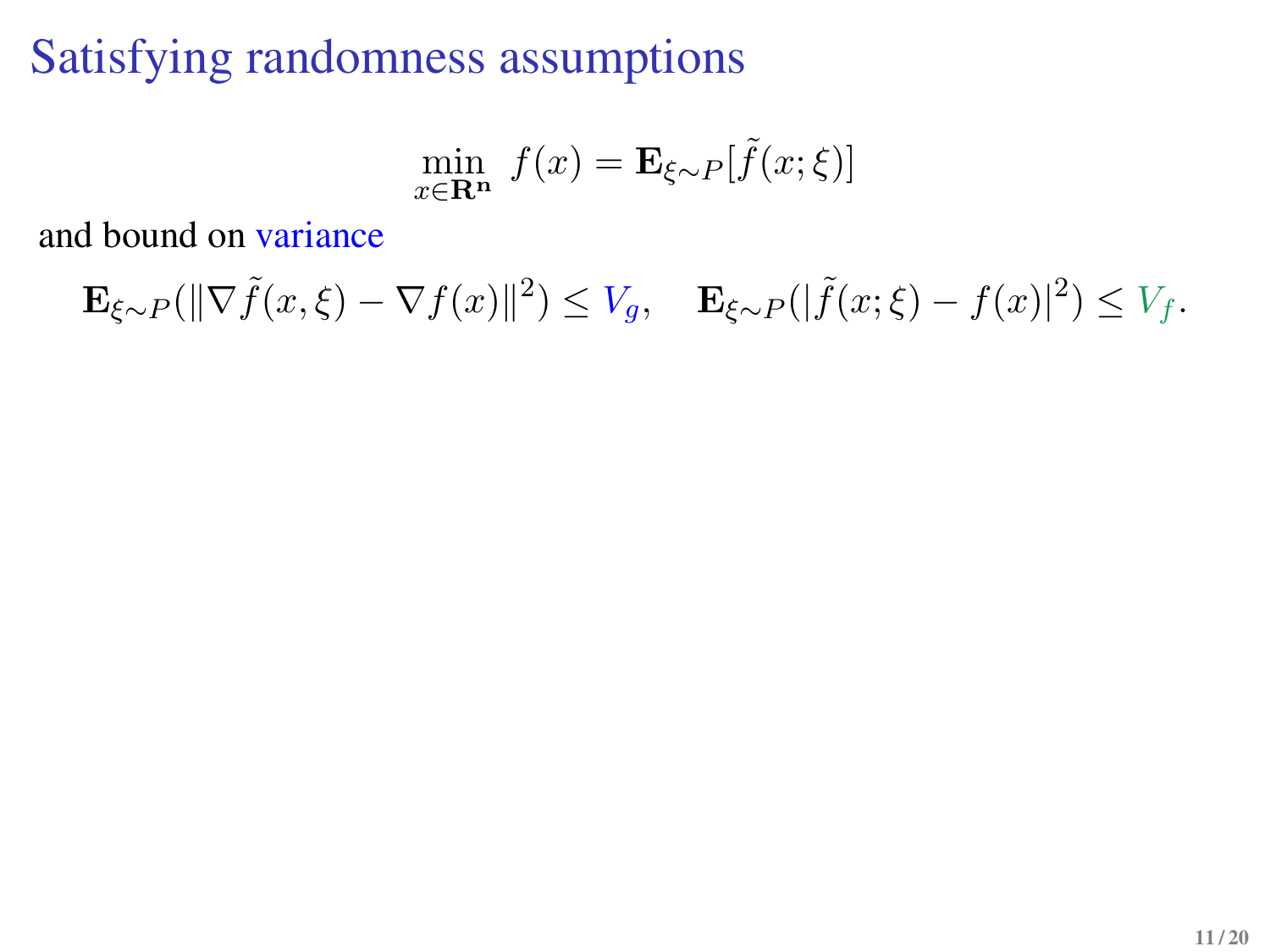# Satisfying randomness assumptions

$$
\min_{x \in \mathbf{R}^n} f(x) = \mathbf{E}_{\xi \sim P}[\tilde{f}(x; \xi)]
$$

and bound on variance

$$
\mathbf{E}_{\xi \sim P}(\|\nabla \tilde{f}(x,\xi) - \nabla f(x)\|^2) \le V_g, \quad \mathbf{E}_{\xi \sim P}(|\tilde{f}(x,\xi) - f(x)|^2) \le V_f.
$$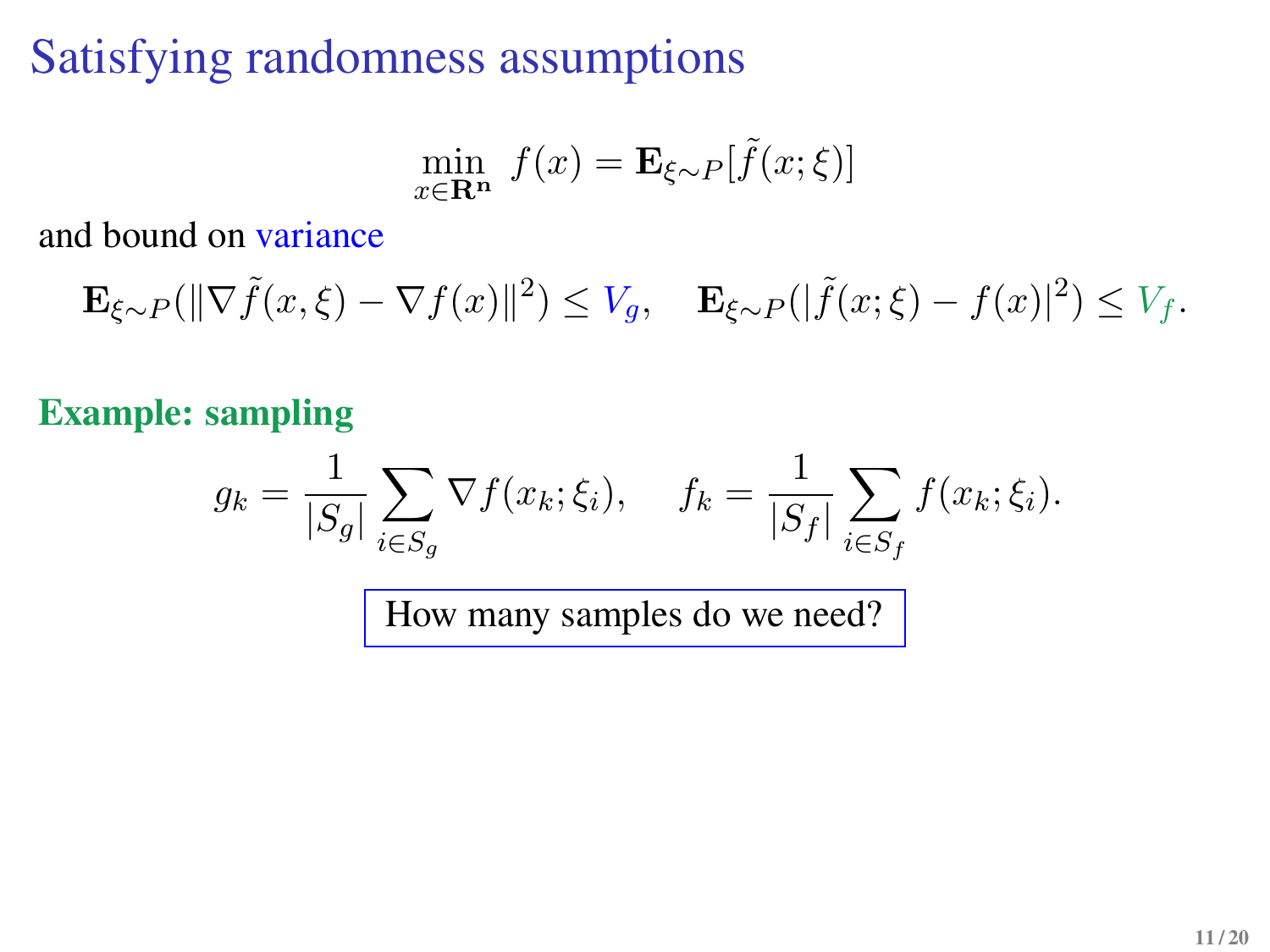# Satisfying randomness assumptions

$$
\min_{x \in \mathbf{R}^n} f(x) = \mathbf{E}_{\xi \sim P}[\tilde{f}(x; \xi)]
$$

and bound on variance

$$
\mathbf{E}_{\xi \sim P}(\|\nabla \tilde{f}(x,\xi) - \nabla f(x)\|^2) \le V_g, \quad \mathbf{E}_{\xi \sim P}(|\tilde{f}(x,\xi) - f(x)|^2) \le V_f.
$$

**Example: sampling**

$$
g_k = \frac{1}{|S_g|} \sum_{i \in S_g} \nabla f(x_k; \xi_i), \quad f_k = \frac{1}{|S_f|} \sum_{i \in S_f} f(x_k; \xi_i).
$$

How many samples do we need?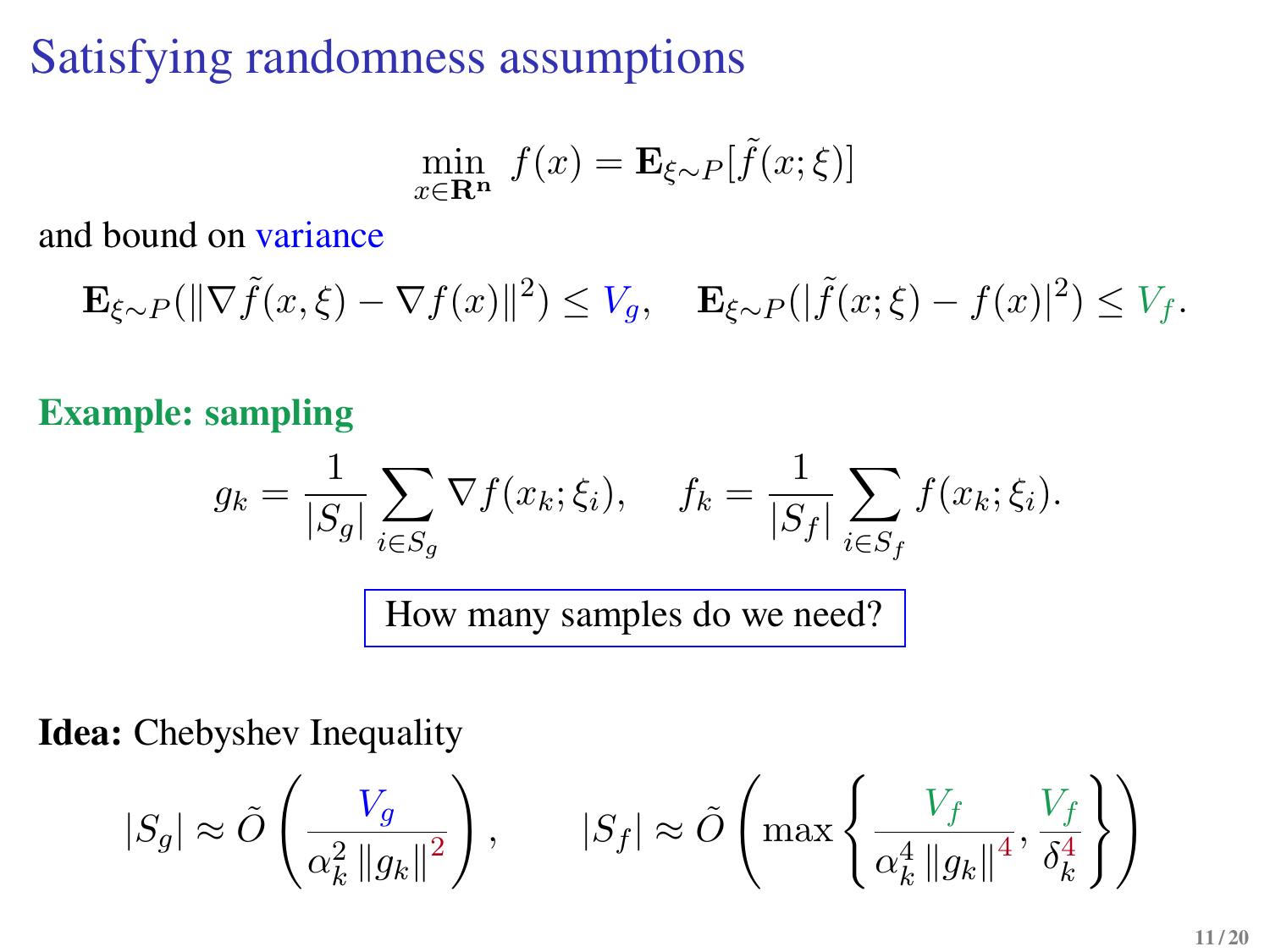# Satisfying randomness assumptions

$$
\min_{x \in \mathbf{R}^n} f(x) = \mathbf{E}_{\xi \sim P}[\tilde{f}(x; \xi)]
$$

and bound on variance

$$
\mathbf{E}_{\xi \sim P}(\|\nabla \tilde{f}(x,\xi) - \nabla f(x)\|^2) \le V_g, \quad \mathbf{E}_{\xi \sim P}(|\tilde{f}(x,\xi) - f(x)|^2) \le V_f.
$$

**Example: sampling**

$$
g_k = \frac{1}{|S_g|} \sum_{i \in S_g} \nabla f(x_k; \xi_i), \quad f_k = \frac{1}{|S_f|} \sum_{i \in S_f} f(x_k; \xi_i).
$$
  
How many samples do we need?

**Idea:** Chebyshev Inequality

$$
|S_g| \approx \tilde{O}\left(\frac{V_g}{\alpha_k^2\left\|g_k\right\|^2}\right), \qquad |S_f| \approx \tilde{O}\left(\max\left\{\frac{V_f}{\alpha_k^4\left\|g_k\right\|^4}, \frac{V_f}{\delta_k^4}\right\}\right)
$$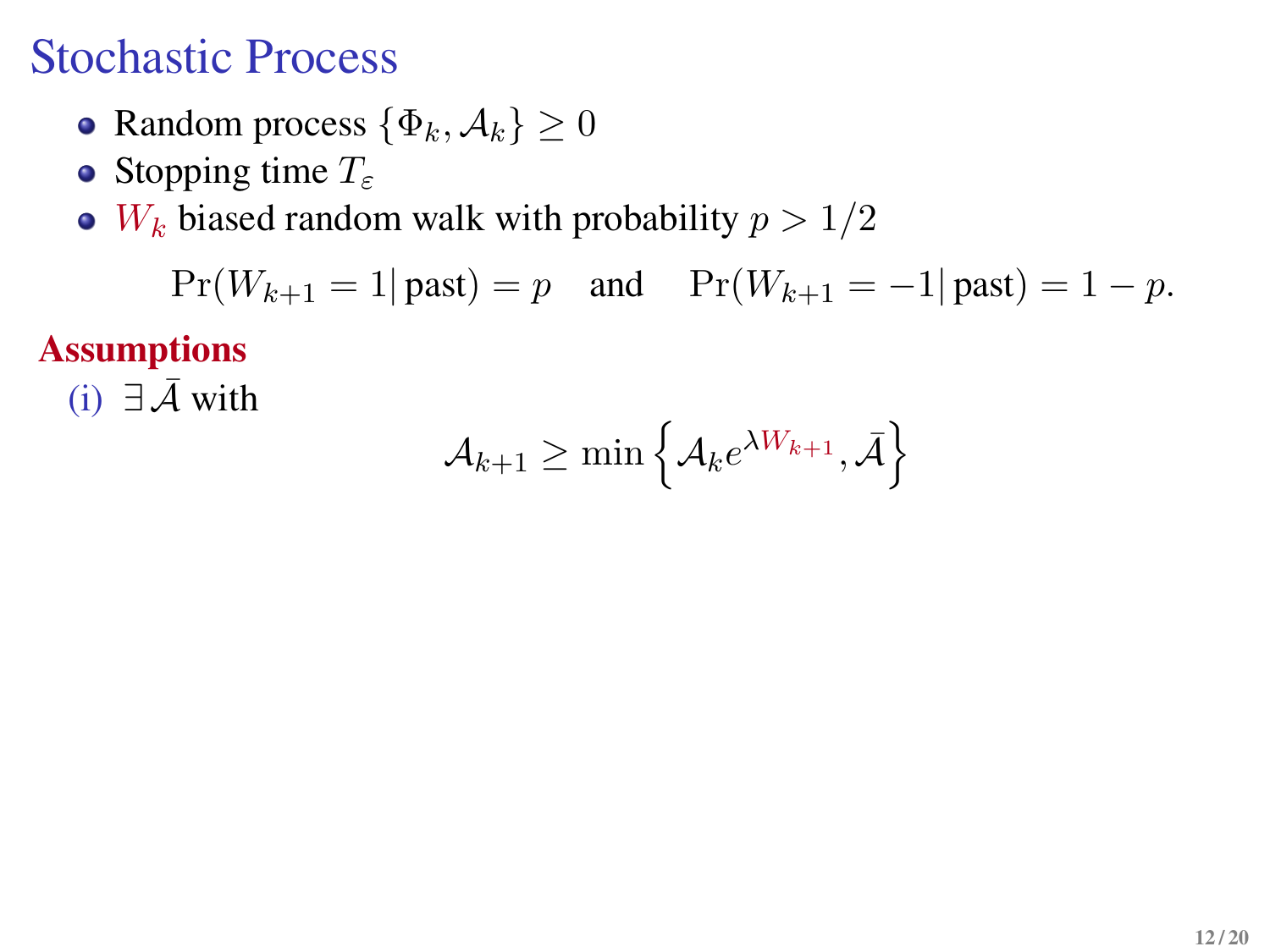## Stochastic Process

- Random process  $\{\Phi_k, \mathcal{A}_k\} \geq 0$
- Stopping time  $T_{\varepsilon}$
- $\bullet$  W<sub>k</sub> biased random walk with probability  $p > 1/2$

$$
Pr(W_{k+1} = 1 | \text{ past}) = p \text{ and } Pr(W_{k+1} = -1 | \text{past}) = 1 - p.
$$

**Assumptions**

(i)  $∃\bar{A}$  with

$$
\mathcal{A}_{k+1} \geq \min\left\{\mathcal{A}_k e^{\lambda W_{k+1}}, \bar{\mathcal{A}}\right\}
$$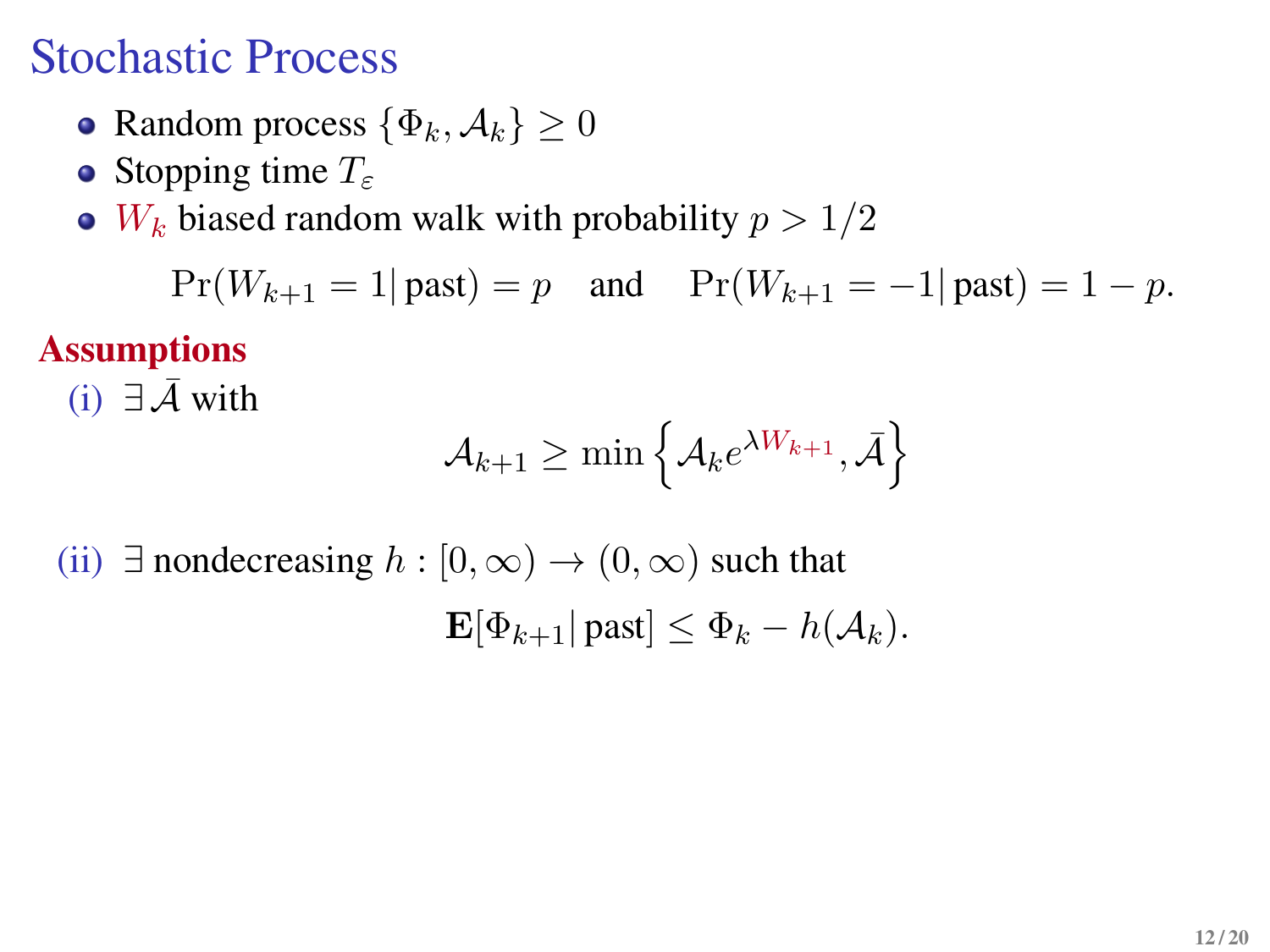## Stochastic Process

- Random process  $\{\Phi_k, \mathcal{A}_k\} \geq 0$
- Stopping time  $T_{\varepsilon}$
- $\bullet$  W<sub>k</sub> biased random walk with probability  $p > 1/2$

 $Pr(W_{k+1} = 1 | \text{ past}) = p$  and  $Pr(W_{k+1} = -1 | \text{past}) = 1 - p$ .

#### **Assumptions**

(i)  $∃\bar{A}$  with

$$
\mathcal{A}_{k+1} \geq \min\left\{\mathcal{A}_k e^{\lambda W_{k+1}}, \bar{\mathcal{A}}\right\}
$$

(ii)  $\exists$  nondecreasing  $h : [0, \infty) \to (0, \infty)$  such that  $\mathbf{E}[\Phi_{k+1} | \text{past}] \leq \Phi_k - h(\mathcal{A}_k).$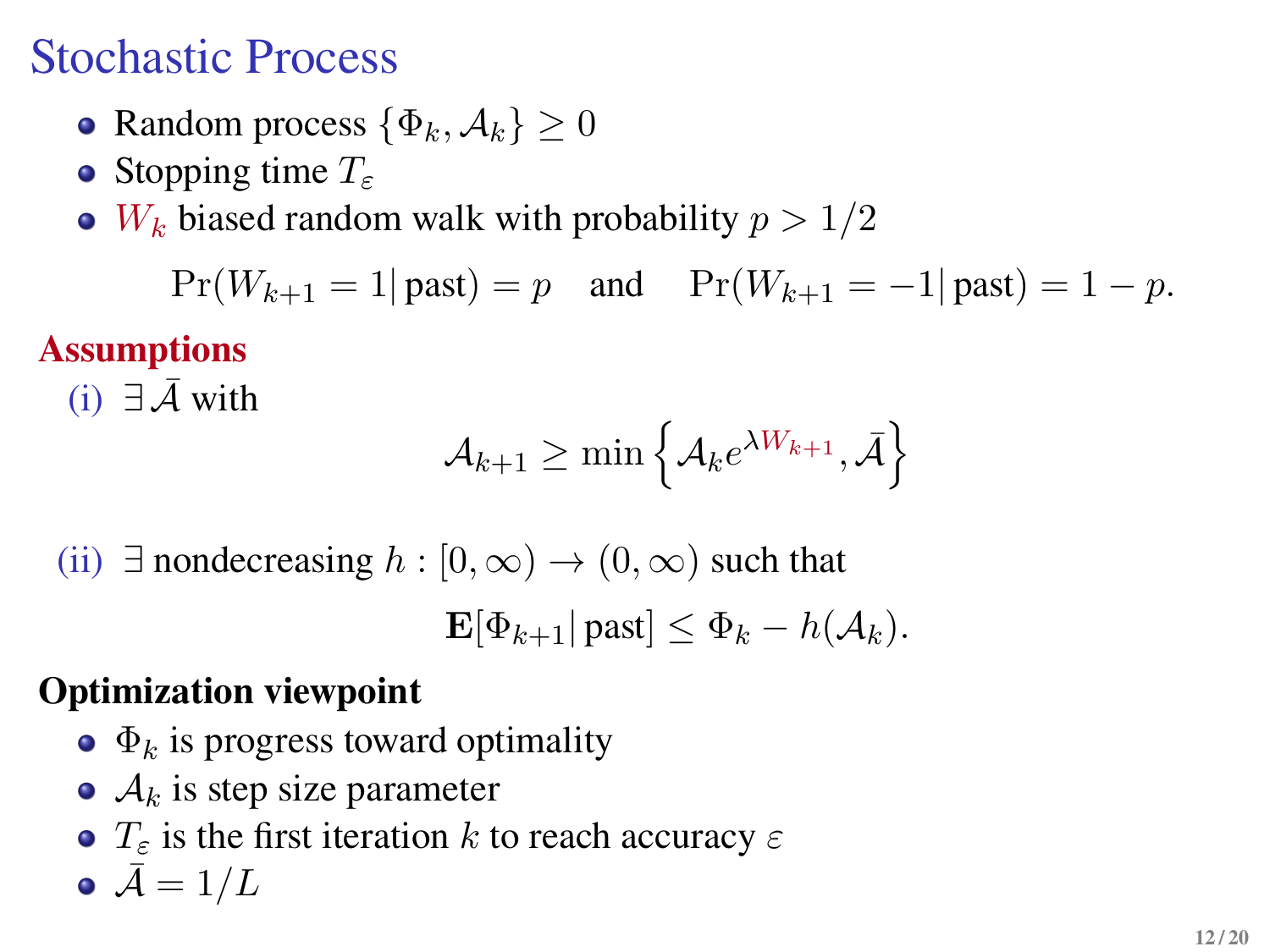# Stochastic Process

- Random process  $\{\Phi_k, \mathcal{A}_k\} \geq 0$
- Stopping time  $T_{\varepsilon}$
- $\bullet$  W<sub>k</sub> biased random walk with probability  $p > 1/2$

 $Pr(W_{k+1} = 1 | \text{ past}) = p$  and  $Pr(W_{k+1} = -1 | \text{past}) = 1 - p$ .

### **Assumptions**

(i)  $∃\bar{A}$  with

$$
\mathcal{A}_{k+1} \geq \min\left\{\mathcal{A}_k e^{\lambda W_{k+1}}, \bar{\mathcal{A}}\right\}
$$

(ii)  $\exists$  nondecreasing  $h : [0, \infty) \to (0, \infty)$  such that

 $\mathbf{E}[\Phi_{k+1} | \text{past}] \leq \Phi_k - h(\mathcal{A}_k).$ 

#### **Optimization viewpoint**

- $\bullet$   $\Phi_k$  is progress toward optimality
- $\bullet$   $\mathcal{A}_k$  is step size parameter
- $\bullet$  T<sub>s</sub> is the first iteration k to reach accuracy  $\varepsilon$

$$
\bullet~\bar{\mathcal{A}}=1/L
$$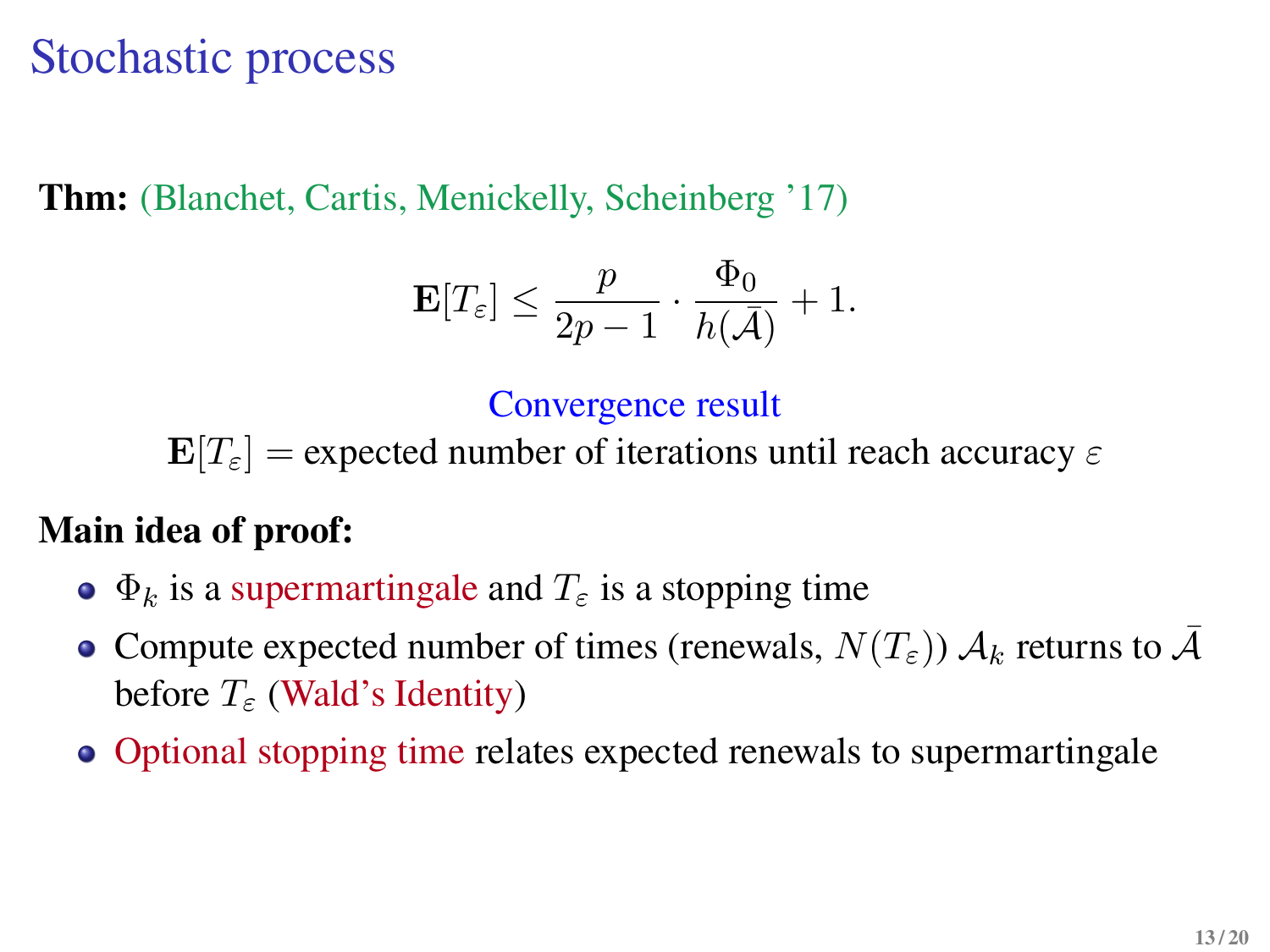## Stochastic process

**Thm:** (Blanchet, Cartis, Menickelly, Scheinberg '17)

$$
\mathbf{E}[T_{\varepsilon}] \le \frac{p}{2p-1} \cdot \frac{\Phi_0}{h(\bar{\mathcal{A}})} + 1.
$$

Convergence result

 $\mathbf{E}[T_{\varepsilon}]$  = expected number of iterations until reach accuracy  $\varepsilon$ 

#### **Main idea of proof:**

- $\bullet$   $\Phi_k$  is a supermartingale and  $T_{\varepsilon}$  is a stopping time
- Compute expected number of times (renewals,  $N(T_{\varepsilon})$ )  $\mathcal{A}_k$  returns to  $\bar{\mathcal{A}}$ before  $T<sub>\epsilon</sub>$  (Wald's Identity)
- Optional stopping time relates expected renewals to supermartingale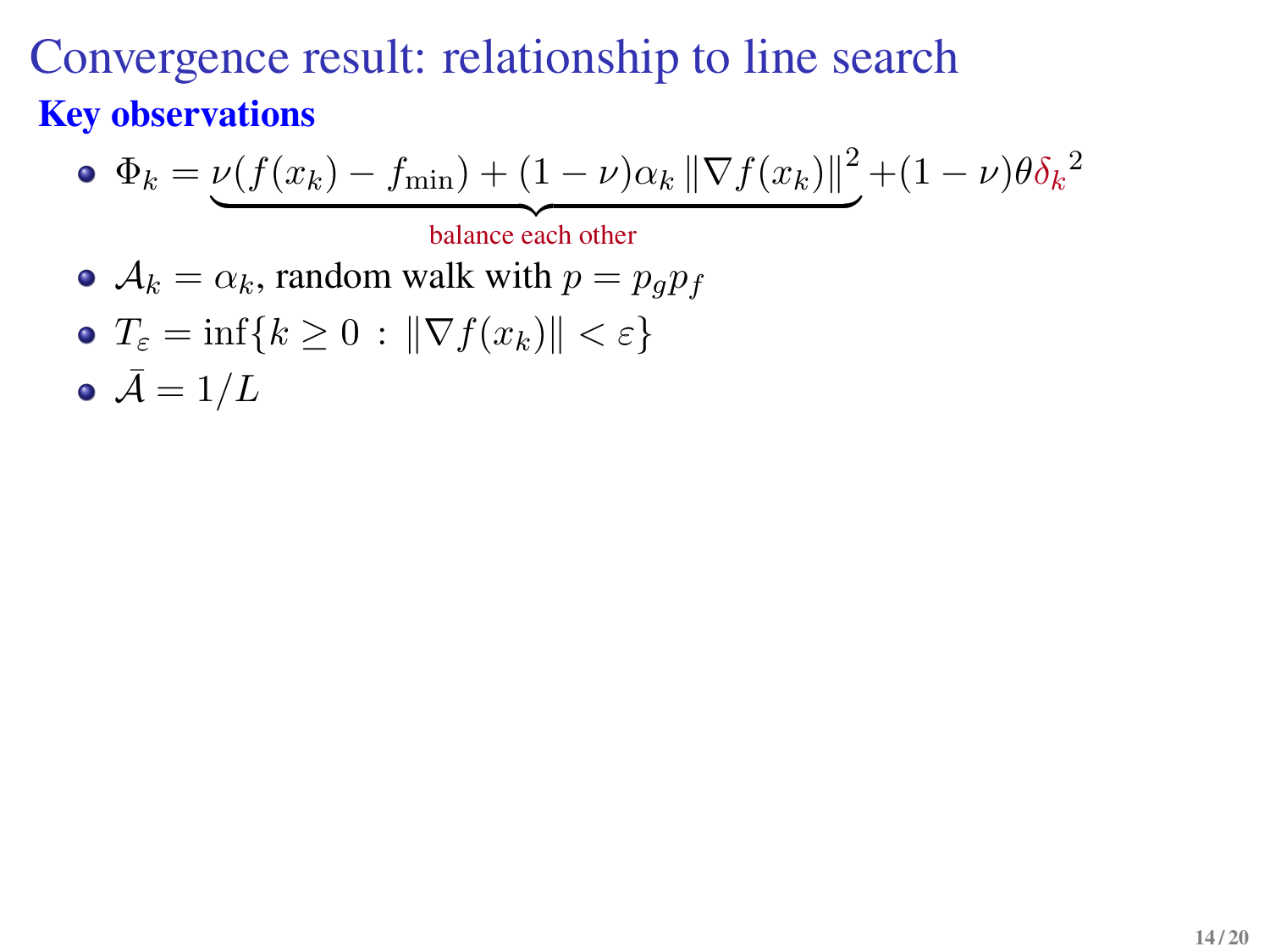### Convergence result: relationship to line search **Key observations**

• 
$$
\Phi_k = \underbrace{\nu(f(x_k) - f_{\min}) + (1 - \nu)\alpha_k \|\nabla f(x_k)\|^2}_{\text{balance each other}} + (1 - \nu)\theta \delta_k^2
$$

• 
$$
A_k = \alpha_k
$$
, random walk with  $p = p_g p_f$ 

- $T_{\varepsilon} = \inf\{k \geq 0 : \|\nabla f(x_k)\| < \varepsilon\}$
- $\bullet \bar{A} = 1/L$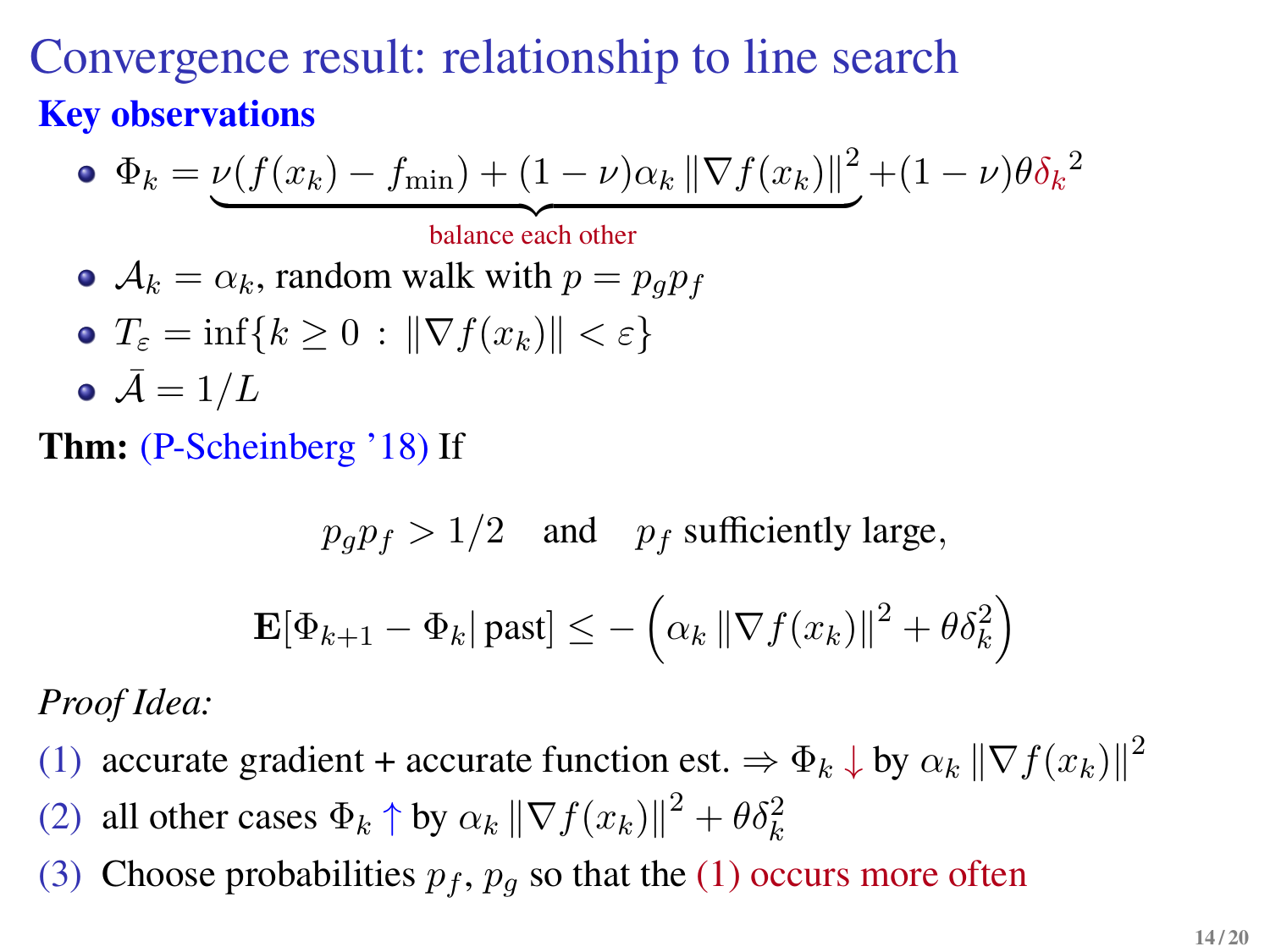## Convergence result: relationship to line search **Key observations**

\n- \n
$$
\Phi_k = \underbrace{\nu(f(x_k) - f_{\min}) + (1 - \nu)\alpha_k \|\nabla f(x_k)\|^2}_{\text{balance each other}}
$$
\n
\n- \n
$$
\mathcal{A}_k = \alpha_k, \text{ random walk with } p = p_g p_f
$$
\n
\n- \n
$$
T_\varepsilon = \inf\{k \geq 0 : \|\nabla f(x_k)\| < \varepsilon\}
$$
\n
\n- \n
$$
\bar{\mathcal{A}} = 1/L
$$
\n
\n

**Thm:** (P-Scheinberg '18) If

$$
p_g p_f > 1/2
$$
 and  $p_f$  sufficiently large,  

$$
\mathbf{E}[\Phi_{k+1} - \Phi_k | \text{past}] \le -\left(\alpha_k \|\nabla f(x_k)\|^2 + \theta \delta_k^2\right)
$$

*Proof Idea:*

- (1) accurate gradient + accurate function est.  $\Rightarrow \Phi_k \downarrow$  by  $\alpha_k \|\nabla f(x_k)\|^2$
- (2) all other cases  $\Phi_k \uparrow$  by  $\alpha_k \|\nabla f(x_k)\|^2 + \theta \delta_k^2$
- (3) Choose probabilities  $p_f$ ,  $p_g$  so that the (1) occurs more often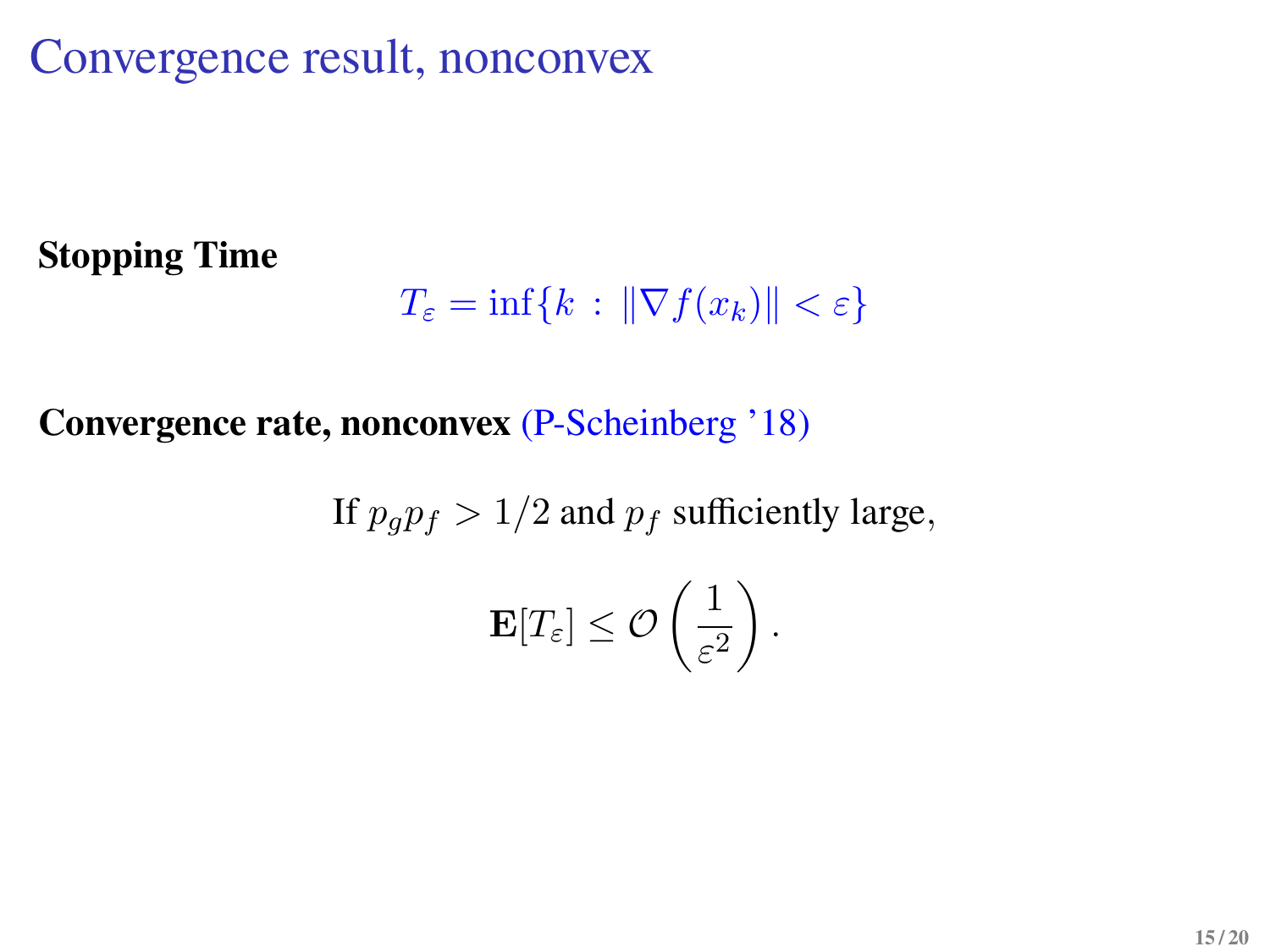Convergence result, nonconvex

#### **Stopping Time**

$$
T_{\varepsilon} = \inf\{k \,:\, \|\nabla f(x_k)\| < \varepsilon\}
$$

#### **Convergence rate, nonconvex** (P-Scheinberg '18)

If 
$$
p_g p_f > 1/2
$$
 and  $p_f$  sufficiently large,  

$$
\mathbf{E}[T_{\varepsilon}] \le \mathcal{O}\left(\frac{1}{\varepsilon^2}\right).
$$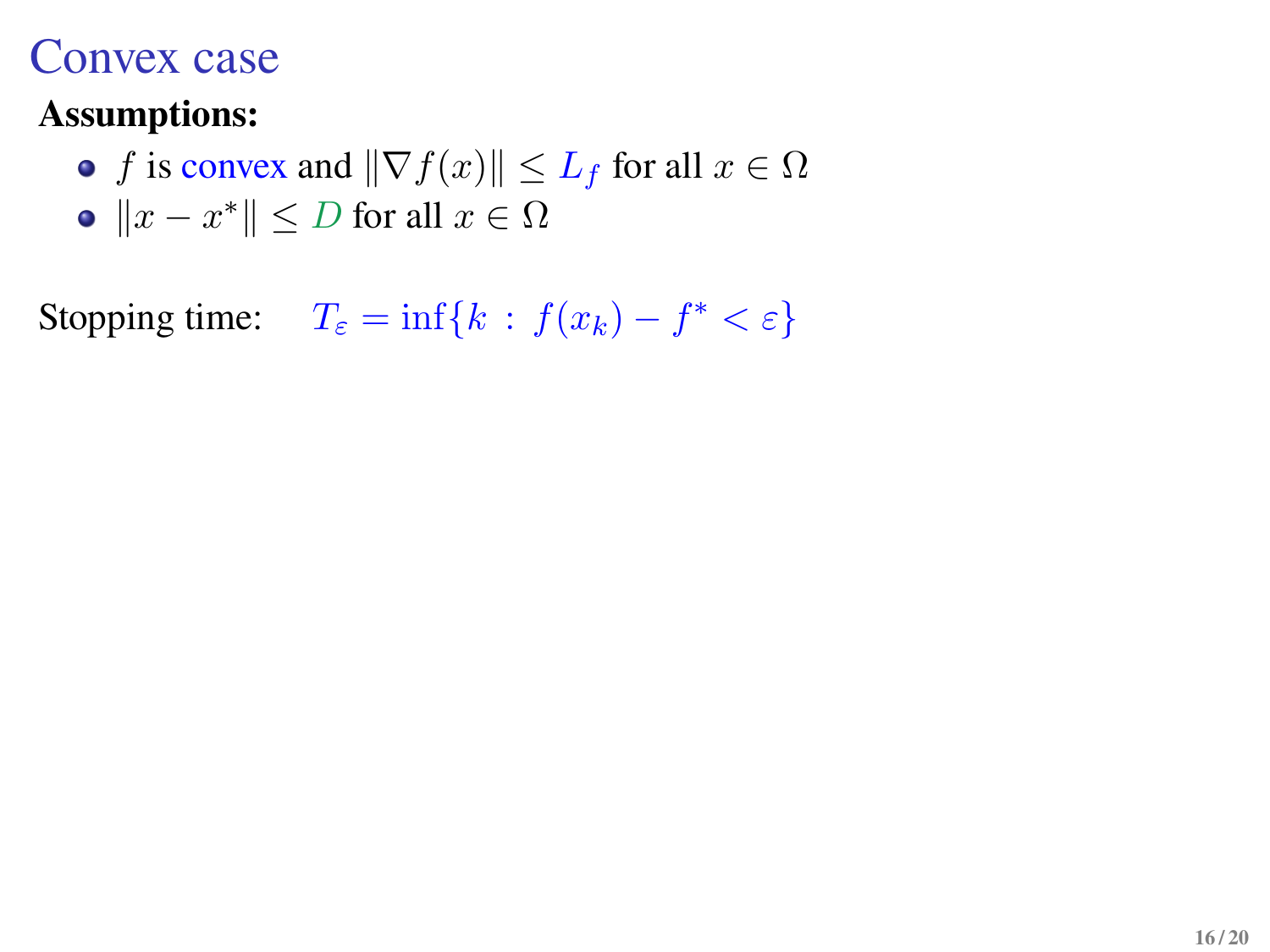### Convex case

#### **Assumptions:**

• f is convex and  $\|\nabla f(x)\| \leq L_f$  for all  $x \in \Omega$  $||x - x^*||$  ≤ *D* for all  $x \in \Omega$ 

Stopping time:  $T_{\varepsilon} = \inf\{k : f(x_k) - f^* < \varepsilon\}$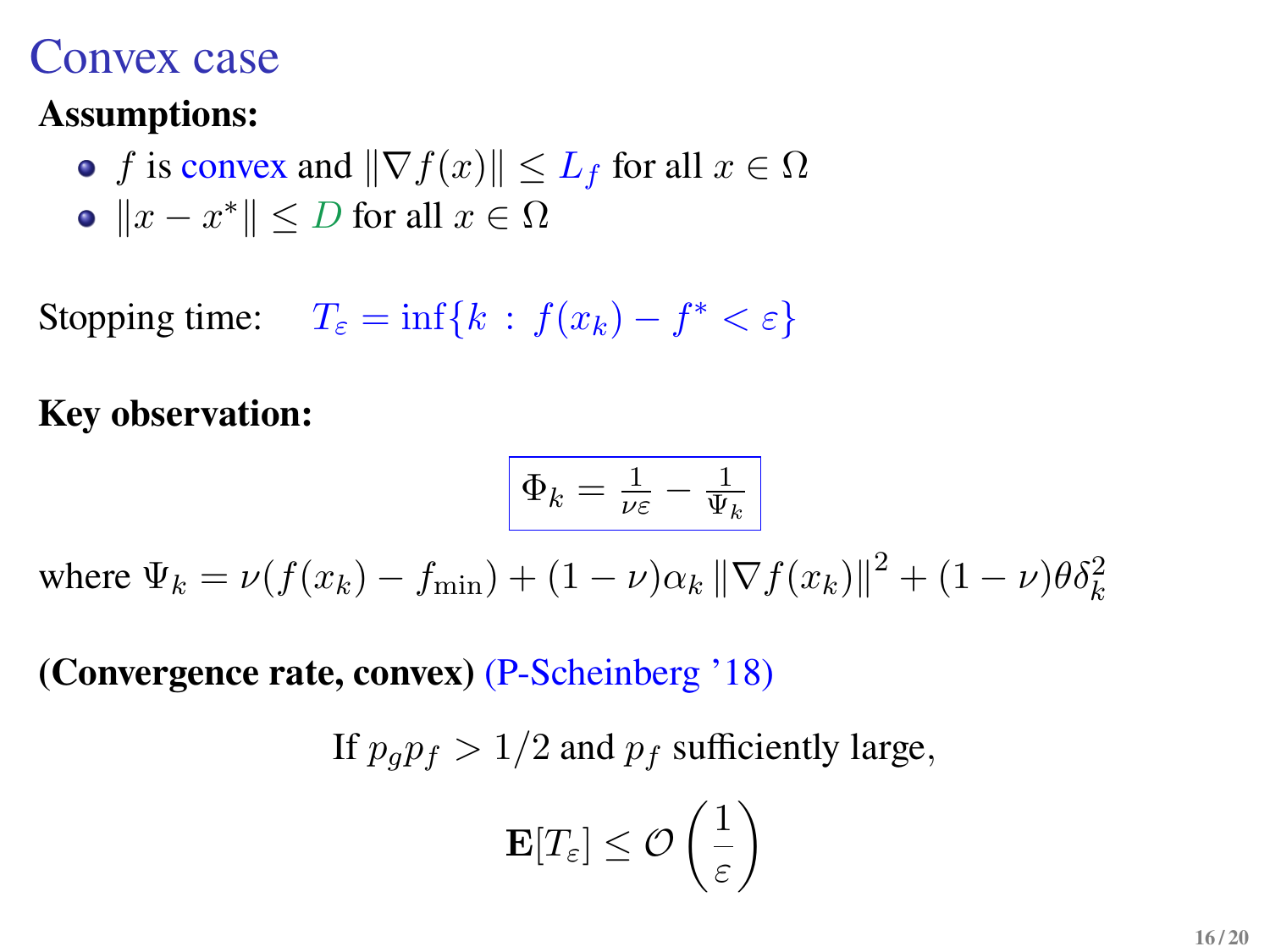### Convex case

#### **Assumptions:**

• f is convex and  $\|\nabla f(x)\| \leq L_f$  for all  $x \in \Omega$  $||x - x^*||$  ≤ *D* for all  $x \in \Omega$ 

Stopping time:  $T_{\varepsilon} = \inf\{k : f(x_k) - f^* < \varepsilon\}$ 

**Key observation:**

$$
\Phi_k = \tfrac{1}{\nu \varepsilon} - \tfrac{1}{\Psi_k}
$$

where  $\Psi_k = \nu(f(x_k) - f_{\min}) + (1 - \nu)\alpha_k \|\nabla f(x_k)\|^2 + (1 - \nu)\theta \delta_k^2$ 

**(Convergence rate, convex)** (P-Scheinberg '18)

If  $p_a p_f > 1/2$  and  $p_f$  sufficiently large,

$$
\mathbf{E}[T_{\varepsilon}] \leq \mathcal{O}\left(\frac{1}{\varepsilon}\right)
$$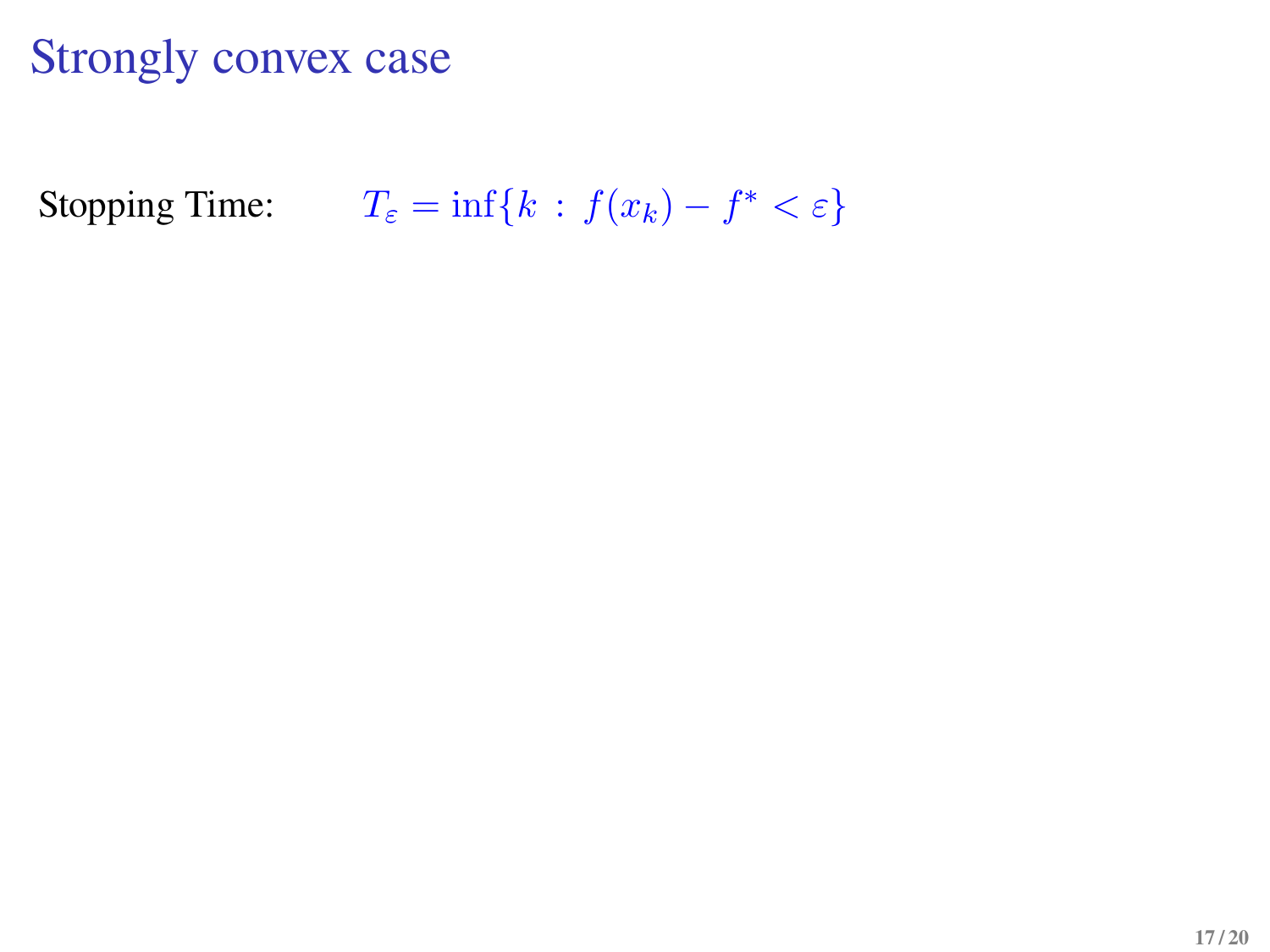## Strongly convex case

Stopping Time:  $T_{\varepsilon} = \inf\{k : f(x_k) - f^* < \varepsilon\}$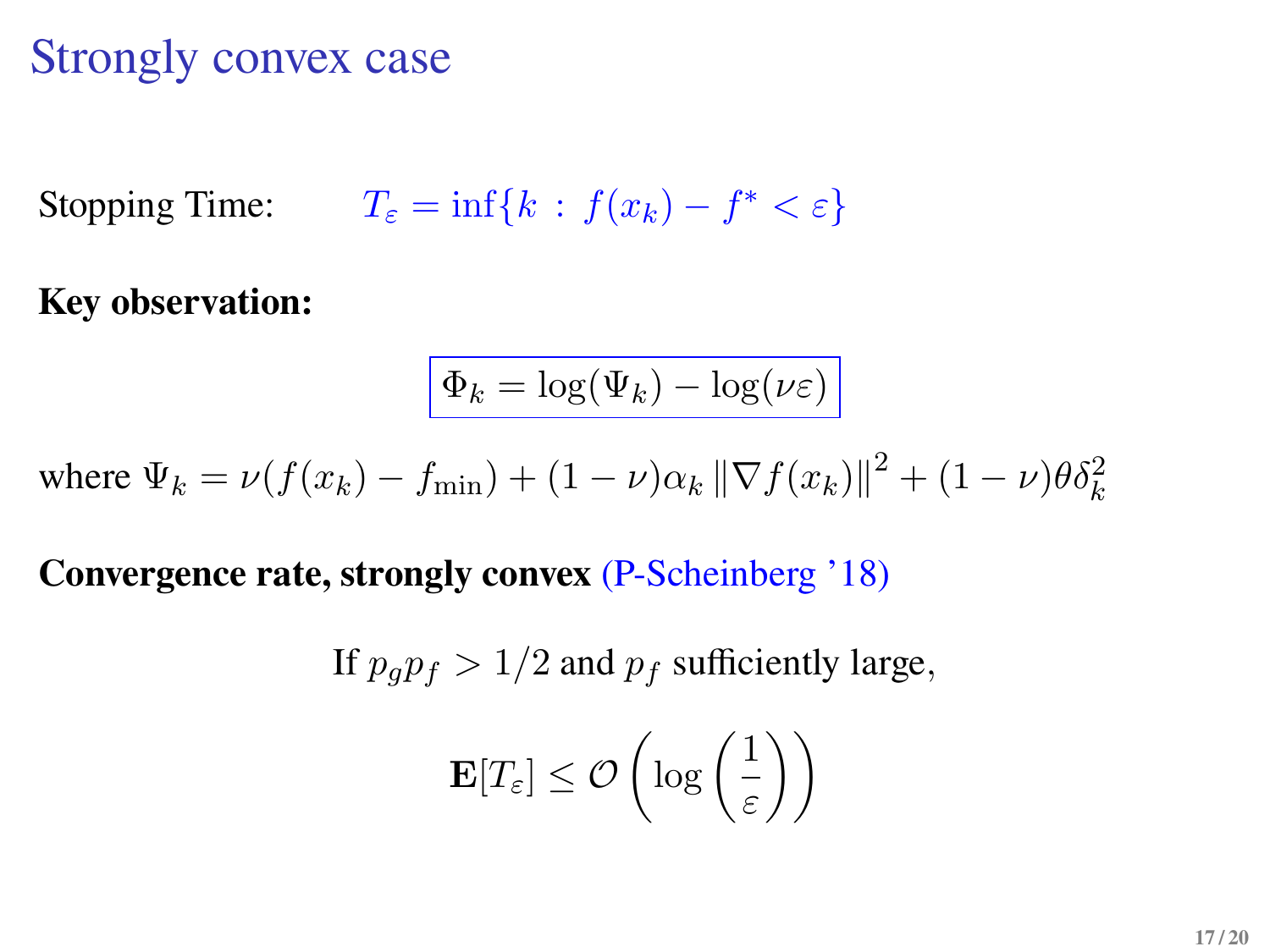## Strongly convex case

Stopping Time:  $T_{\varepsilon} = \inf\{k : f(x_k) - f^* < \varepsilon\}$ 

**Key observation:**

$$
\Phi_k = \log(\Psi_k) - \log(\nu \varepsilon)
$$

where  $\Psi_k = \nu(f(x_k) - f_{\min}) + (1 - \nu)\alpha_k \|\nabla f(x_k)\|^2 + (1 - \nu)\theta \delta_k^2$ 

**Convergence rate, strongly convex** (P-Scheinberg '18)

If 
$$
p_g p_f > 1/2
$$
 and  $p_f$  sufficiently large,  

$$
\mathbf{E}[T_{\varepsilon}] \leq \mathcal{O}\left(\log\left(\frac{1}{\varepsilon}\right)\right)
$$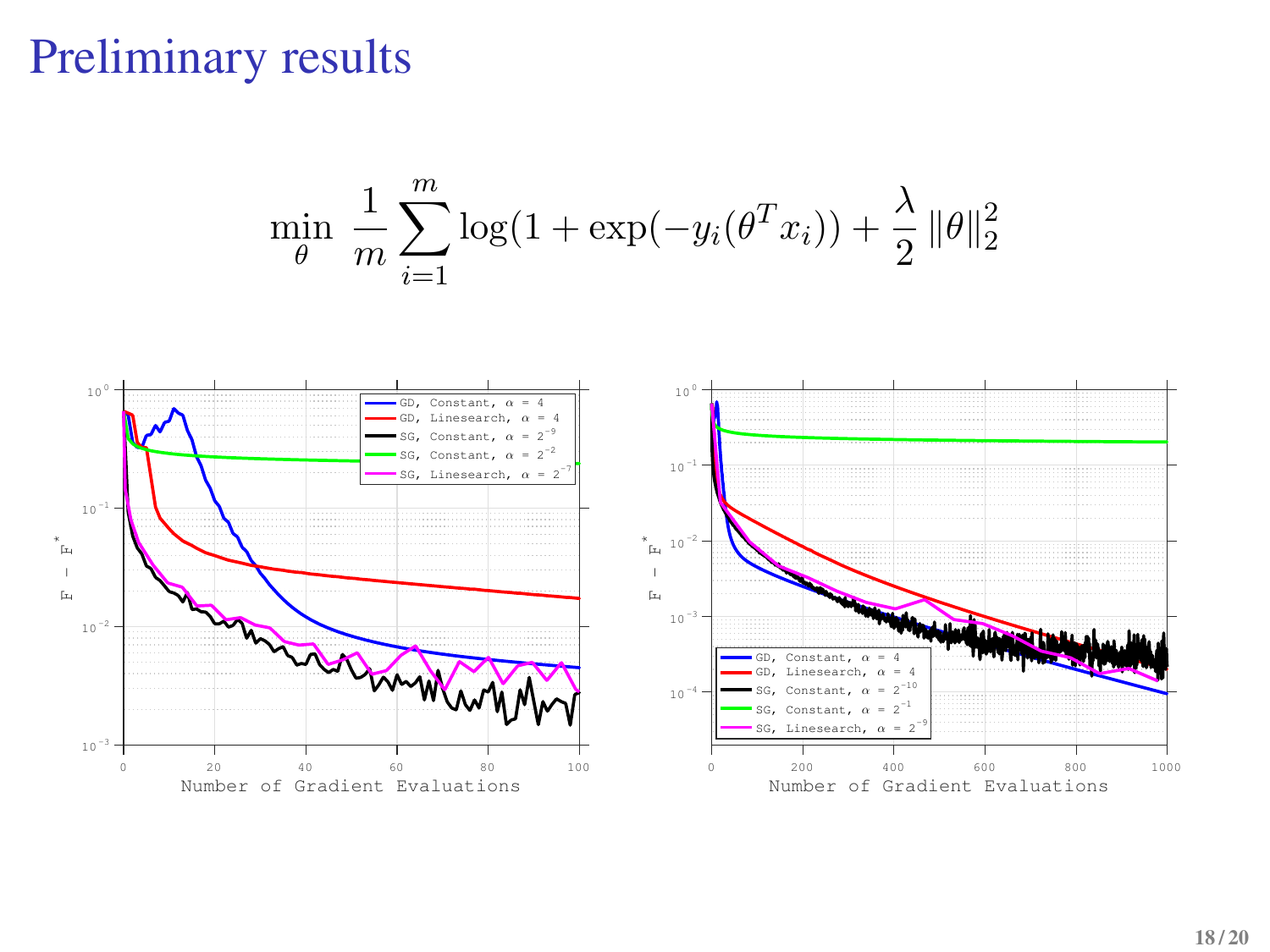### Preliminary results



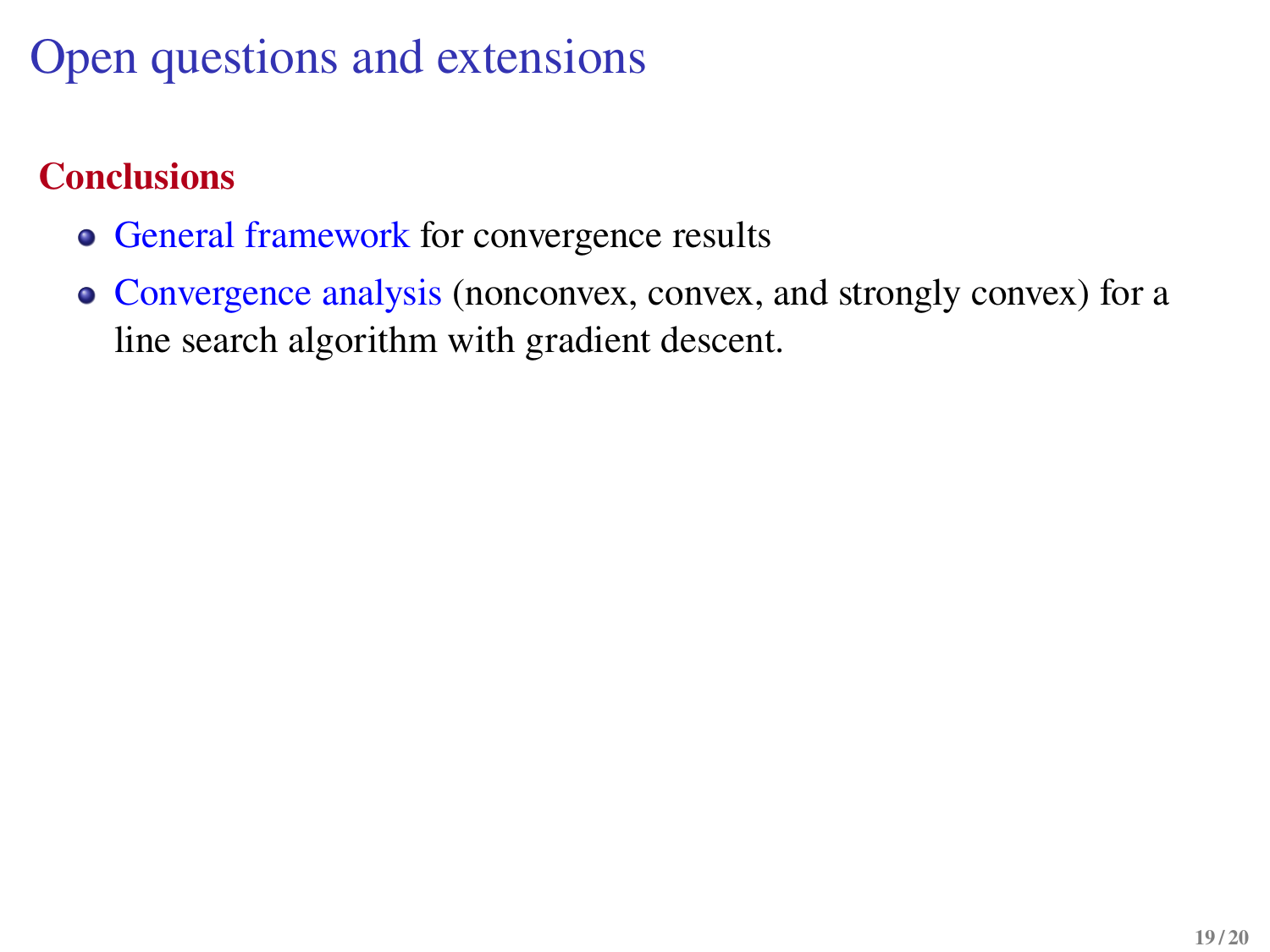# Open questions and extensions

### **Conclusions**

- General framework for convergence results
- Convergence analysis (nonconvex, convex, and strongly convex) for a line search algorithm with gradient descent.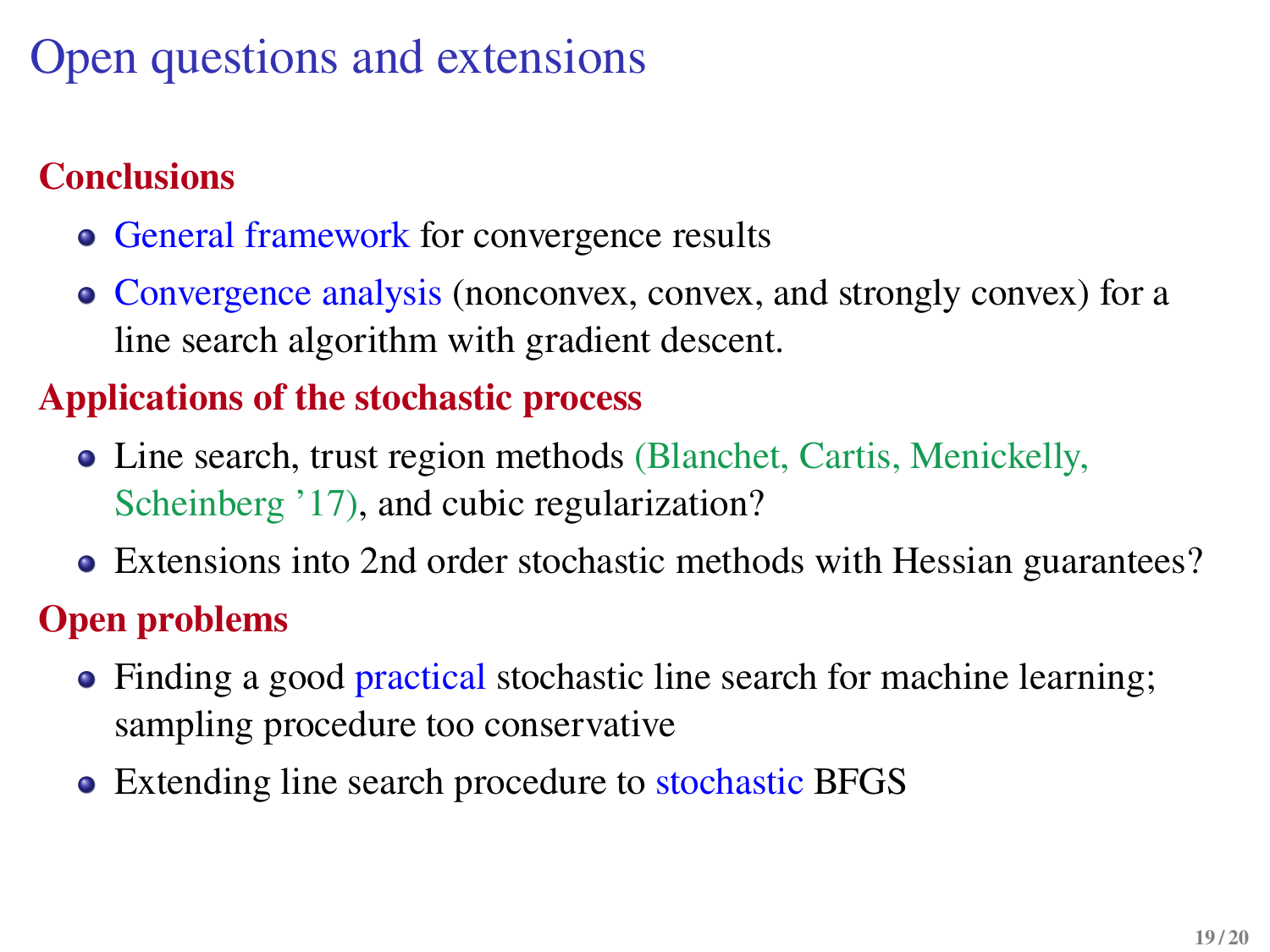# Open questions and extensions

### **Conclusions**

- General framework for convergence results
- Convergence analysis (nonconvex, convex, and strongly convex) for a line search algorithm with gradient descent.

#### **Applications of the stochastic process**

- Line search, trust region methods (Blanchet, Cartis, Menickelly, Scheinberg '17), and cubic regularization?
- Extensions into 2nd order stochastic methods with Hessian guarantees?

#### **Open problems**

- Finding a good practical stochastic line search for machine learning; sampling procedure too conservative
- Extending line search procedure to stochastic BFGS